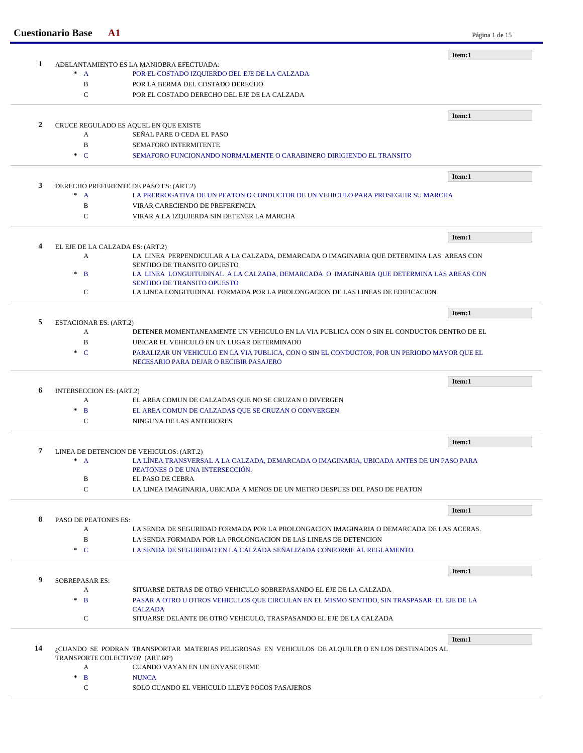| <b>Cuestionario Base</b> | ${\bf A1}$                    |                                                                                                                        | Página 1 de 15 |
|--------------------------|-------------------------------|------------------------------------------------------------------------------------------------------------------------|----------------|
|                          |                               |                                                                                                                        | Item:1         |
| 1                        |                               | ADELANTAMIENTO ES LA MANIOBRA EFECTUADA:                                                                               |                |
|                          | $* A$                         | POR EL COSTADO IZQUIERDO DEL EJE DE LA CALZADA<br>POR LA BERMA DEL COSTADO DERECHO                                     |                |
|                          | B<br>C                        | POR EL COSTADO DERECHO DEL EJE DE LA CALZADA                                                                           |                |
|                          |                               |                                                                                                                        |                |
|                          |                               |                                                                                                                        | Item:1         |
| $\overline{2}$           | A                             | CRUCE REGULADO ES AQUEL EN QUE EXISTE<br>SEÑAL PARE O CEDA EL PASO                                                     |                |
|                          | $\bf{B}$                      | <b>SEMAFORO INTERMITENTE</b>                                                                                           |                |
|                          | $\cdot$ C                     | SEMAFORO FUNCIONANDO NORMALMENTE O CARABINERO DIRIGIENDO EL TRANSITO                                                   |                |
|                          |                               |                                                                                                                        |                |
|                          |                               |                                                                                                                        | Item:1         |
| 3                        |                               | DERECHO PREFERENTE DE PASO ES: (ART.2)                                                                                 |                |
|                          | $^*$ A                        | LA PRERROGATIVA DE UN PEATON O CONDUCTOR DE UN VEHICULO PARA PROSEGUIR SU MARCHA                                       |                |
|                          | B<br>$\mathbf C$              | VIRAR CARECIENDO DE PREFERENCIA                                                                                        |                |
|                          |                               | VIRAR A LA IZQUIERDA SIN DETENER LA MARCHA                                                                             |                |
|                          |                               |                                                                                                                        | Item:1         |
| 4                        |                               | EL EJE DE LA CALZADA ES: (ART.2)                                                                                       |                |
|                          | A                             | LA LINEA PERPENDICULAR A LA CALZADA, DEMARCADA O IMAGINARIA QUE DETERMINA LAS AREAS CON                                |                |
|                          | $\ast$<br>$\overline{B}$      | SENTIDO DE TRANSITO OPUESTO<br>LA LINEA LONGUITUDINAL A LA CALZADA, DEMARCADA O IMAGINARIA QUE DETERMINA LAS AREAS CON |                |
|                          |                               | <b>SENTIDO DE TRANSITO OPUESTO</b>                                                                                     |                |
|                          | $\mathbf C$                   | LA LINEA LONGITUDINAL FORMADA POR LA PROLONGACION DE LAS LINEAS DE EDIFICACION                                         |                |
|                          |                               |                                                                                                                        | Item:1         |
| 5                        | <b>ESTACIONAR ES: (ART.2)</b> |                                                                                                                        |                |
|                          |                               |                                                                                                                        |                |
|                          | A                             | DETENER MOMENTANEAMENTE UN VEHICULO EN LA VIA PUBLICA CON O SIN EL CONDUCTOR DENTRO DE EL                              |                |
|                          | B                             | UBICAR EL VEHICULO EN UN LUGAR DETERMINADO                                                                             |                |
|                          | $\cdot$ C                     | PARALIZAR UN VEHICULO EN LA VIA PUBLICA, CON O SIN EL CONDUCTOR, POR UN PERIODO MAYOR QUE EL                           |                |
|                          |                               | NECESARIO PARA DEJAR O RECIBIR PASAJERO                                                                                |                |
|                          |                               |                                                                                                                        | Item:1         |
| 6                        | INTERSECCION ES: (ART.2)      |                                                                                                                        |                |
|                          | A                             | EL AREA COMUN DE CALZADAS QUE NO SE CRUZAN O DIVERGEN                                                                  |                |
|                          | $\pm$<br>$\mathbf{B}$         | EL AREA COMUN DE CALZADAS QUE SE CRUZAN O CONVERGEN                                                                    |                |
|                          | C                             | NINGUNA DE LAS ANTERIORES                                                                                              |                |
|                          |                               |                                                                                                                        | Item:1         |
| 7                        |                               | LINEA DE DETENCION DE VEHICULOS: (ART.2)                                                                               |                |
|                          | $* A$                         | LA LÍNEA TRANSVERSAL A LA CALZADA, DEMARCADA O IMAGINARIA, UBICADA ANTES DE UN PASO PARA                               |                |
|                          |                               | PEATONES O DE UNA INTERSECCIÓN.                                                                                        |                |
|                          | B                             | EL PASO DE CEBRA                                                                                                       |                |
|                          | $\mathbf C$                   | LA LINEA IMAGINARIA, UBICADA A MENOS DE UN METRO DESPUES DEL PASO DE PEATON                                            |                |
|                          |                               |                                                                                                                        | Item:1         |
| 8                        | PASO DE PEATONES ES:          |                                                                                                                        |                |
|                          | A                             | LA SENDA DE SEGURIDAD FORMADA POR LA PROLONGACION IMAGINARIA O DEMARCADA DE LAS ACERAS.                                |                |
|                          | $\, {\bf B}$                  | LA SENDA FORMADA POR LA PROLONGACION DE LAS LINEAS DE DETENCION                                                        |                |
|                          | $\cdot$ C                     | LA SENDA DE SEGURIDAD EN LA CALZADA SEÑALIZADA CONFORME AL REGLAMENTO.                                                 |                |
|                          |                               |                                                                                                                        | Item:1         |
| 9                        | <b>SOBREPASAR ES:</b>         |                                                                                                                        |                |
|                          | A                             | SITUARSE DETRAS DE OTRO VEHICULO SOBREPASANDO EL EJE DE LA CALZADA                                                     |                |
|                          | $*$ B                         | PASAR A OTRO U OTROS VEHICULOS QUE CIRCULAN EN EL MISMO SENTIDO, SIN TRASPASAR EL EJE DE LA                            |                |
|                          | $\mathbf C$                   | <b>CALZADA</b><br>SITUARSE DELANTE DE OTRO VEHICULO, TRASPASANDO EL EJE DE LA CALZADA                                  |                |
|                          |                               |                                                                                                                        |                |
| 14                       |                               | ¿CUANDO SE PODRAN TRANSPORTAR MATERIAS PELIGROSAS EN VEHICULOS DE ALQUILER O EN LOS DESTINADOS AL                      | Item:1         |
|                          |                               | TRANSPORTE COLECTIVO? (ART.60°)                                                                                        |                |
|                          | A                             | CUANDO VAYAN EN UN ENVASE FIRME                                                                                        |                |
|                          | $\pm$<br>$\mathbf{B}$         | <b>NUNCA</b>                                                                                                           |                |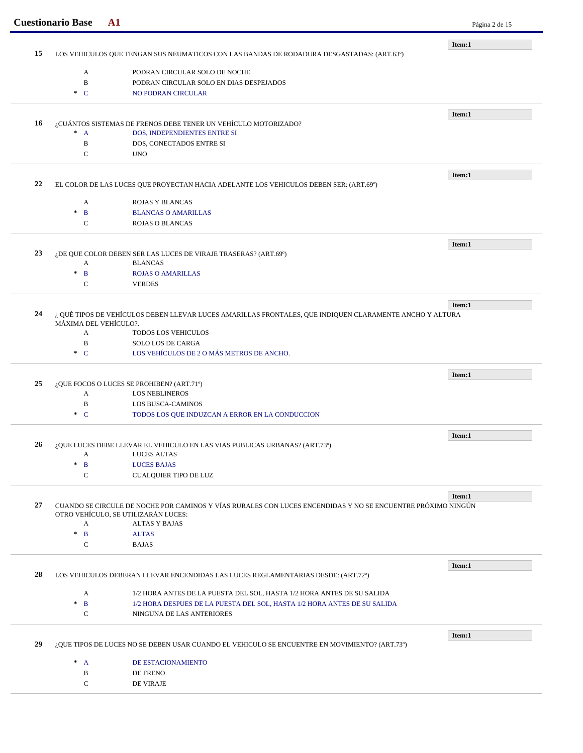|    | <b>Cuestionario Base</b><br>$\mathbf{A1}$                                                                                        |                                                                                                             | Página 2 de 15 |  |  |
|----|----------------------------------------------------------------------------------------------------------------------------------|-------------------------------------------------------------------------------------------------------------|----------------|--|--|
|    |                                                                                                                                  |                                                                                                             | Item:1         |  |  |
| 15 |                                                                                                                                  | LOS VEHICULOS QUE TENGAN SUS NEUMATICOS CON LAS BANDAS DE RODADURA DESGASTADAS: (ART.63º)                   |                |  |  |
|    | A                                                                                                                                | PODRAN CIRCULAR SOLO DE NOCHE                                                                               |                |  |  |
|    | B                                                                                                                                | PODRAN CIRCULAR SOLO EN DIAS DESPEJADOS                                                                     |                |  |  |
|    | $\ast$ C                                                                                                                         | NO PODRAN CIRCULAR                                                                                          |                |  |  |
|    |                                                                                                                                  |                                                                                                             |                |  |  |
|    |                                                                                                                                  |                                                                                                             | Item:1         |  |  |
| 16 |                                                                                                                                  | ¿CUÁNTOS SISTEMAS DE FRENOS DEBE TENER UN VEHÍCULO MOTORIZADO?                                              |                |  |  |
|    | $^*$ A                                                                                                                           | DOS, INDEPENDIENTES ENTRE SI                                                                                |                |  |  |
|    | B                                                                                                                                | DOS, CONECTADOS ENTRE SI                                                                                    |                |  |  |
|    | C                                                                                                                                | <b>UNO</b>                                                                                                  |                |  |  |
|    |                                                                                                                                  |                                                                                                             |                |  |  |
| 22 |                                                                                                                                  | EL COLOR DE LAS LUCES QUE PROYECTAN HACIA ADELANTE LOS VEHICULOS DEBEN SER: (ART.69º)                       | Item:1         |  |  |
|    |                                                                                                                                  |                                                                                                             |                |  |  |
|    | A                                                                                                                                | ROJAS Y BLANCAS                                                                                             |                |  |  |
|    | $\mathbf{B}$<br>$\ast$                                                                                                           | <b>BLANCAS O AMARILLAS</b>                                                                                  |                |  |  |
|    | C                                                                                                                                | <b>ROJAS O BLANCAS</b>                                                                                      |                |  |  |
|    |                                                                                                                                  |                                                                                                             |                |  |  |
| 23 |                                                                                                                                  | ¿DE QUE COLOR DEBEN SER LAS LUCES DE VIRAJE TRASERAS? (ART.69°)                                             | Item:1         |  |  |
|    | A                                                                                                                                | <b>BLANCAS</b>                                                                                              |                |  |  |
|    | $\mathcal{R}$<br>B                                                                                                               | <b>ROJAS O AMARILLAS</b>                                                                                    |                |  |  |
|    | C                                                                                                                                | <b>VERDES</b>                                                                                               |                |  |  |
|    |                                                                                                                                  |                                                                                                             |                |  |  |
|    |                                                                                                                                  |                                                                                                             | Item:1         |  |  |
| 24 | ¿ QUÉ TIPOS DE VEHÍCULOS DEBEN LLEVAR LUCES AMARILLAS FRONTALES, QUE INDIQUEN CLARAMENTE ANCHO Y ALTURA<br>MÁXIMA DEL VEHÍCULO?. |                                                                                                             |                |  |  |
|    | A                                                                                                                                | <b>TODOS LOS VEHICULOS</b>                                                                                  |                |  |  |
|    | B                                                                                                                                | SOLO LOS DE CARGA                                                                                           |                |  |  |
|    | $\ast$ C                                                                                                                         | LOS VEHÍCULOS DE 2 O MÁS METROS DE ANCHO.                                                                   |                |  |  |
|    |                                                                                                                                  |                                                                                                             |                |  |  |
|    |                                                                                                                                  |                                                                                                             | Item:1         |  |  |
| 25 |                                                                                                                                  | ¿QUE FOCOS O LUCES SE PROHIBEN? (ART.71°)                                                                   |                |  |  |
|    | A<br>$\, {\bf B}$                                                                                                                | <b>LOS NEBLINEROS</b><br><b>LOS BUSCA-CAMINOS</b>                                                           |                |  |  |
|    | $\ast$ C                                                                                                                         | TODOS LOS QUE INDUZCAN A ERROR EN LA CONDUCCION                                                             |                |  |  |
|    |                                                                                                                                  |                                                                                                             |                |  |  |
|    |                                                                                                                                  |                                                                                                             | Item:1         |  |  |
| 26 |                                                                                                                                  | ¿QUE LUCES DEBE LLEVAR EL VEHICULO EN LAS VIAS PUBLICAS URBANAS? (ART.73º)                                  |                |  |  |
|    | A                                                                                                                                | <b>LUCES ALTAS</b>                                                                                          |                |  |  |
|    | $\ast$<br>$\mathbf{B}$                                                                                                           | <b>LUCES BAJAS</b>                                                                                          |                |  |  |
|    | $\mathbf C$                                                                                                                      | <b>CUALQUIER TIPO DE LUZ</b>                                                                                |                |  |  |
|    |                                                                                                                                  |                                                                                                             | Item:1         |  |  |
| 27 |                                                                                                                                  | CUANDO SE CIRCULE DE NOCHE POR CAMINOS Y VÍAS RURALES CON LUCES ENCENDIDAS Y NO SE ENCUENTRE PRÓXIMO NINGÚN |                |  |  |
|    | OTRO VEHÍCULO, SE UTILIZARÁN LUCES:                                                                                              |                                                                                                             |                |  |  |
|    | A                                                                                                                                | <b>ALTAS Y BAJAS</b>                                                                                        |                |  |  |
|    | $\ast$<br>$\mathbf{B}$                                                                                                           | <b>ALTAS</b>                                                                                                |                |  |  |
|    | $\mathbf C$                                                                                                                      | <b>BAJAS</b>                                                                                                |                |  |  |
|    |                                                                                                                                  |                                                                                                             | Item:1         |  |  |
| 28 |                                                                                                                                  | LOS VEHICULOS DEBERAN LLEVAR ENCENDIDAS LAS LUCES REGLAMENTARIAS DESDE: (ART.72º)                           |                |  |  |
|    |                                                                                                                                  |                                                                                                             |                |  |  |
|    | A                                                                                                                                | 1/2 HORA ANTES DE LA PUESTA DEL SOL, HASTA 1/2 HORA ANTES DE SU SALIDA                                      |                |  |  |
|    | $\mathbf{B}$<br>$\pm$                                                                                                            | 1/2 HORA DESPUES DE LA PUESTA DEL SOL, HASTA 1/2 HORA ANTES DE SU SALIDA                                    |                |  |  |
|    | ${\bf C}$                                                                                                                        | NINGUNA DE LAS ANTERIORES                                                                                   |                |  |  |
|    |                                                                                                                                  |                                                                                                             | Item:1         |  |  |
| 29 |                                                                                                                                  | ¿QUE TIPOS DE LUCES NO SE DEBEN USAR CUANDO EL VEHICULO SE ENCUENTRE EN MOVIMIENTO? (ART.73º)               |                |  |  |
|    |                                                                                                                                  |                                                                                                             |                |  |  |
|    |                                                                                                                                  |                                                                                                             |                |  |  |
|    | $^*$ A<br>B                                                                                                                      | DE ESTACIONAMIENTO<br>DE FRENO                                                                              |                |  |  |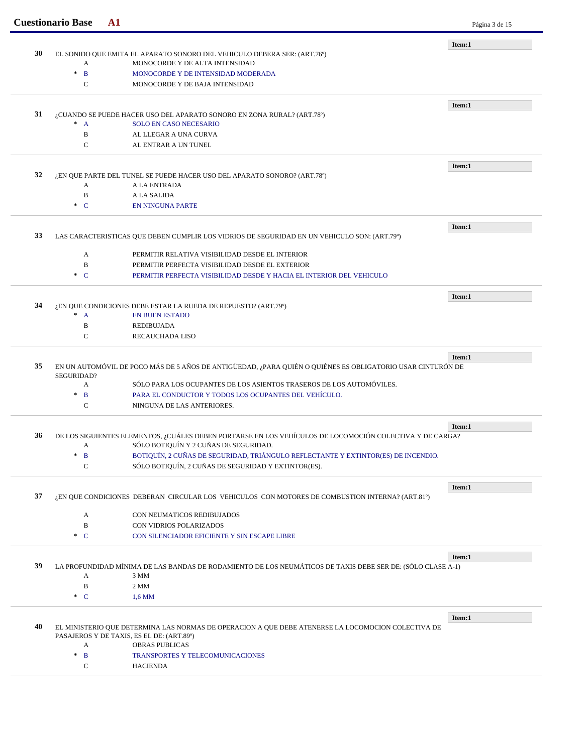|    |                              |                                                                                                            | Página 3 de 15 |
|----|------------------------------|------------------------------------------------------------------------------------------------------------|----------------|
|    |                              |                                                                                                            | Item:1         |
| 30 |                              | EL SONIDO QUE EMITA EL APARATO SONORO DEL VEHICULO DEBERA SER: (ART.76°)                                   |                |
|    | A<br>$\ast$                  | MONOCORDE Y DE ALTA INTENSIDAD                                                                             |                |
|    | $\mathbf{B}$                 | MONOCORDE Y DE INTENSIDAD MODERADA                                                                         |                |
|    | $\mathbf C$                  | MONOCORDE Y DE BAJA INTENSIDAD                                                                             |                |
|    |                              |                                                                                                            | Item:1         |
| 31 |                              | ¿CUANDO SE PUEDE HACER USO DEL APARATO SONORO EN ZONA RURAL? (ART.78º)                                     |                |
|    | $^*$ A                       | SOLO EN CASO NECESARIO                                                                                     |                |
|    | B                            | AL LLEGAR A UNA CURVA                                                                                      |                |
|    | $\mathbf C$                  | AL ENTRAR A UN TUNEL                                                                                       |                |
|    |                              |                                                                                                            | Item:1         |
| 32 |                              | ¿EN QUE PARTE DEL TUNEL SE PUEDE HACER USO DEL APARATO SONORO? (ART.78º)                                   |                |
|    | A                            | A LA ENTRADA                                                                                               |                |
|    | $\, {\bf B}$                 | A LA SALIDA                                                                                                |                |
|    | $\cdot$ C                    | <b>EN NINGUNA PARTE</b>                                                                                    |                |
|    |                              |                                                                                                            | Item:1         |
| 33 |                              | LAS CARACTERISTICAS QUE DEBEN CUMPLIR LOS VIDRIOS DE SEGURIDAD EN UN VEHICULO SON: (ART.79°)               |                |
|    |                              |                                                                                                            |                |
|    | А                            | PERMITIR RELATIVA VISIBILIDAD DESDE EL INTERIOR                                                            |                |
|    | $\, {\bf B}$                 | PERMITIR PERFECTA VISIBILIDAD DESDE EL EXTERIOR                                                            |                |
|    | $\mathbf C$<br>$\mathcal{H}$ | PERMITIR PERFECTA VISIBILIDAD DESDE Y HACIA EL INTERIOR DEL VEHICULO                                       |                |
|    |                              |                                                                                                            | Item:1         |
| 34 |                              | ¿EN QUE CONDICIONES DEBE ESTAR LA RUEDA DE REPUESTO? (ART.79°)                                             |                |
|    | $^*$ A                       | <b>EN BUEN ESTADO</b>                                                                                      |                |
|    | B                            | <b>REDIBUJADA</b>                                                                                          |                |
|    | $\mathbf C$                  | <b>RECAUCHADA LISO</b>                                                                                     |                |
|    |                              |                                                                                                            | Item:1         |
| 35 |                              | EN UN AUTOMÓVIL DE POCO MÁS DE 5 AÑOS DE ANTIGÜEDAD, ¿PARA QUIÉN O QUIÉNES ES OBLIGATORIO USAR CINTURÓN DE |                |
|    | SEGURIDAD?                   |                                                                                                            |                |
|    | A                            | SÓLO PARA LOS OCUPANTES DE LOS ASIENTOS TRASEROS DE LOS AUTOMÓVILES.                                       |                |
|    | $\ast$<br>B                  | PARA EL CONDUCTOR Y TODOS LOS OCUPANTES DEL VEHÍCULO.                                                      |                |
|    | $\mathsf{C}$                 | NINGUNA DE LAS ANTERIORES.                                                                                 |                |
|    |                              |                                                                                                            | Item:1         |
| 36 |                              | DE LOS SIGUIENTES ELEMENTOS, ¿CUÁLES DEBEN PORTARSE EN LOS VEHÍCULOS DE LOCOMOCIÓN COLECTIVA Y DE CARGA?   |                |
|    | A                            | SÓLO BOTIQUÍN Y 2 CUÑAS DE SEGURIDAD.                                                                      |                |
|    | $\mathbf{B}$<br>$\ast$       | BOTIQUÍN, 2 CUÑAS DE SEGURIDAD, TRIÁNGULO REFLECTANTE Y EXTINTOR(ES) DE INCENDIO.                          |                |
|    | $\mathbf C$                  | SÓLO BOTIQUÍN, 2 CUÑAS DE SEGURIDAD Y EXTINTOR(ES).                                                        |                |
|    |                              |                                                                                                            | Item:1         |
| 37 |                              | ¿EN QUE CONDICIONES DEBERAN CIRCULAR LOS VEHICULOS CON MOTORES DE COMBUSTION INTERNA? (ART.81º)            |                |
|    |                              | CON NEUMATICOS REDIBUJADOS                                                                                 |                |
|    | A<br>$\, {\bf B}$            | CON VIDRIOS POLARIZADOS                                                                                    |                |
|    | $\cdot$ C                    | CON SILENCIADOR EFICIENTE Y SIN ESCAPE LIBRE                                                               |                |
|    |                              |                                                                                                            |                |
|    |                              |                                                                                                            | Item:1         |
| 39 |                              | LA PROFUNDIDAD MÍNIMA DE LAS BANDAS DE RODAMIENTO DE LOS NEUMÁTICOS DE TAXIS DEBE SER DE: (SÓLO CLASE A-1) |                |
|    | А                            | 3 MM                                                                                                       |                |
|    | $\, {\bf B}$                 | 2 MM                                                                                                       |                |
|    | $\mathbf C$<br>$\pm$         | $1.6$ MM                                                                                                   |                |
|    |                              |                                                                                                            | Item:1         |
| 40 |                              | EL MINISTERIO QUE DETERMINA LAS NORMAS DE OPERACION A QUE DEBE ATENERSE LA LOCOMOCION COLECTIVA DE         |                |
|    |                              | PASAJEROS Y DE TAXIS, ES EL DE: (ART.89°)                                                                  |                |
|    | A                            | <b>OBRAS PUBLICAS</b>                                                                                      |                |
|    | $\mathbf{B}$<br>$\ast$       | TRANSPORTES Y TELECOMUNICACIONES                                                                           |                |
|    | C                            | <b>HACIENDA</b>                                                                                            |                |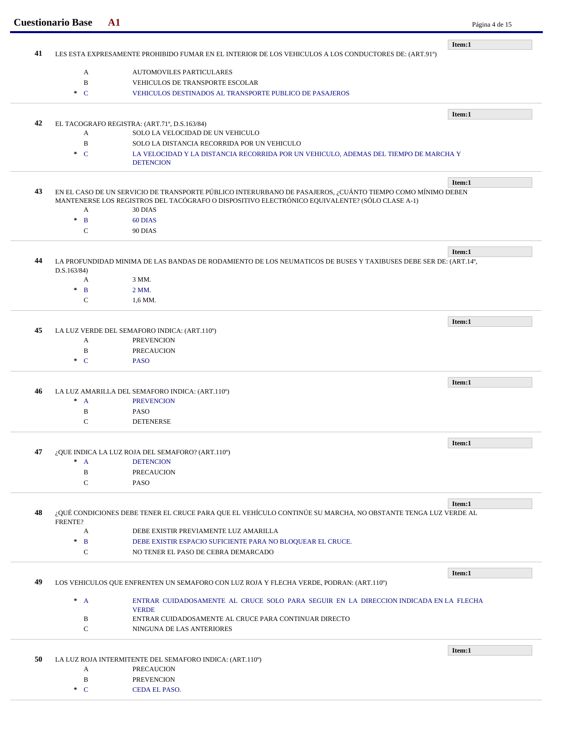|    | <b>Cuestionario Base</b>     | ${\bf A1}$                                                                                                      | Página 4 de 15 |
|----|------------------------------|-----------------------------------------------------------------------------------------------------------------|----------------|
| 41 |                              |                                                                                                                 | Item:1         |
|    |                              | LES ESTA EXPRESAMENTE PROHIBIDO FUMAR EN EL INTERIOR DE LOS VEHICULOS A LOS CONDUCTORES DE: (ART.91º)           |                |
|    | A                            | <b>AUTOMOVILES PARTICULARES</b>                                                                                 |                |
|    | $\, {\bf B}$                 | VEHICULOS DE TRANSPORTE ESCOLAR                                                                                 |                |
|    | $\ast$ C                     | VEHICULOS DESTINADOS AL TRANSPORTE PUBLICO DE PASAJEROS                                                         |                |
|    |                              |                                                                                                                 | Item:1         |
| 42 |                              | EL TACOGRAFO REGISTRA: (ART.71°, D.S.163/84)                                                                    |                |
|    | A                            | SOLO LA VELOCIDAD DE UN VEHICULO                                                                                |                |
|    | $\, {\bf B}$                 | SOLO LA DISTANCIA RECORRIDA POR UN VEHICULO                                                                     |                |
|    | $\ast$ C                     | LA VELOCIDAD Y LA DISTANCIA RECORRIDA POR UN VEHICULO, ADEMAS DEL TIEMPO DE MARCHA Y<br><b>DETENCION</b>        |                |
|    |                              |                                                                                                                 | Item:1         |
| 43 |                              | EN EL CASO DE UN SERVICIO DE TRANSPORTE PÚBLICO INTERURBANO DE PASAJEROS, ¿CUÁNTO TIEMPO COMO MÍNIMO DEBEN      |                |
|    |                              | MANTENERSE LOS REGISTROS DEL TACÓGRAFO O DISPOSITIVO ELECTRÓNICO EQUIVALENTE? (SÓLO CLASE A-1)                  |                |
|    | A                            | 30 DIAS                                                                                                         |                |
|    | $\mathbf{B}$<br>$\ast$       | 60 DIAS                                                                                                         |                |
|    | $\mathbf C$                  | 90 DIAS                                                                                                         |                |
|    |                              |                                                                                                                 | Item:1         |
| 44 |                              | LA PROFUNDIDAD MINIMA DE LAS BANDAS DE RODAMIENTO DE LOS NEUMATICOS DE BUSES Y TAXIBUSES DEBE SER DE: (ART.14°, |                |
|    | D.S.163/84)                  |                                                                                                                 |                |
|    | A                            | 3 MM.                                                                                                           |                |
|    | $\mathbf B$<br>$\mathcal{A}$ | 2 MM.                                                                                                           |                |
|    | $\mathbf C$                  | 1,6 MM.                                                                                                         |                |
|    |                              |                                                                                                                 |                |
| 45 |                              | LA LUZ VERDE DEL SEMAFORO INDICA: (ART.110°)                                                                    | Item:1         |
|    | A                            | <b>PREVENCION</b>                                                                                               |                |
|    | $\, {\bf B}$                 | <b>PRECAUCION</b>                                                                                               |                |
|    | $\ast$ C                     | <b>PASO</b>                                                                                                     |                |
|    |                              |                                                                                                                 |                |
|    |                              |                                                                                                                 | Item:1         |
| 46 |                              | LA LUZ AMARILLA DEL SEMAFORO INDICA: (ART.110°)                                                                 |                |
|    | $\ast$<br>$\mathbf{A}$       | <b>PREVENCION</b>                                                                                               |                |
|    | $\, {\bf B}$                 | <b>PASO</b>                                                                                                     |                |
|    | $\mathsf{C}$                 | <b>DETENERSE</b>                                                                                                |                |
|    |                              |                                                                                                                 | Item:1         |
| 47 |                              | ¿QUE INDICA LA LUZ ROJA DEL SEMAFORO? (ART.110°)                                                                |                |
|    | A                            | <b>DETENCION</b>                                                                                                |                |
|    | B                            | <b>PRECAUCION</b>                                                                                               |                |
|    | $\mathsf{C}$                 | <b>PASO</b>                                                                                                     |                |
|    |                              |                                                                                                                 | Item:1         |
| 48 |                              | ¿QUÉ CONDICIONES DEBE TENER EL CRUCE PARA QUE EL VEHÍCULO CONTINÚE SU MARCHA, NO OBSTANTE TENGA LUZ VERDE AL    |                |
|    | FRENTE?                      |                                                                                                                 |                |
|    | A                            | DEBE EXISTIR PREVIAMENTE LUZ AMARILLA                                                                           |                |
|    | $\mathbf{B}$<br>$\ast$       | DEBE EXISTIR ESPACIO SUFICIENTE PARA NO BLOQUEAR EL CRUCE.                                                      |                |
|    | C                            | NO TENER EL PASO DE CEBRA DEMARCADO                                                                             |                |
|    |                              |                                                                                                                 | Item:1         |
| 49 |                              | LOS VEHICULOS QUE ENFRENTEN UN SEMAFORO CON LUZ ROJA Y FLECHA VERDE, PODRAN: (ART.110°)                         |                |
|    |                              |                                                                                                                 |                |
|    | $^*$ A                       | ENTRAR CUIDADOSAMENTE AL CRUCE SOLO PARA SEGUIR EN LA DIRECCION INDICADA EN LA FLECHA<br><b>VERDE</b>           |                |
|    |                              | ENTRAR CUIDADOSAMENTE AL CRUCE PARA CONTINUAR DIRECTO                                                           |                |
|    |                              |                                                                                                                 |                |
|    | B<br>$\mathbf C$             | NINGUNA DE LAS ANTERIORES                                                                                       |                |
|    |                              |                                                                                                                 |                |
|    |                              |                                                                                                                 | Item:1         |
| 50 |                              | LA LUZ ROJA INTERMITENTE DEL SEMAFORO INDICA: (ART.110°)                                                        |                |
|    | A                            | <b>PRECAUCION</b>                                                                                               |                |
|    | $\, {\bf B}$<br>$\ast$ C     | <b>PREVENCION</b><br><b>CEDA EL PASO.</b>                                                                       |                |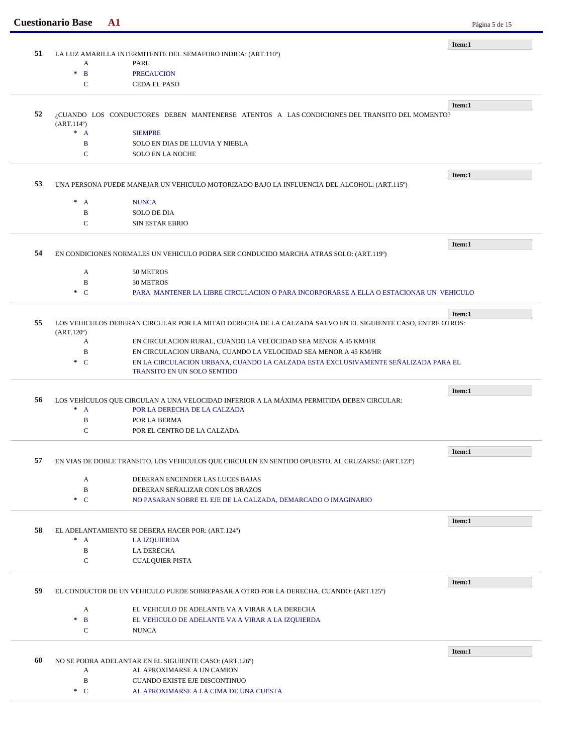|    | <b>Cuestionario Base</b>                                                                                   | A1                                                                                                | Página 5 de 15 |
|----|------------------------------------------------------------------------------------------------------------|---------------------------------------------------------------------------------------------------|----------------|
|    |                                                                                                            |                                                                                                   | Item:1         |
| 51 |                                                                                                            | LA LUZ AMARILLA INTERMITENTE DEL SEMAFORO INDICA: (ART.110°)                                      |                |
|    | A<br>$\ast$                                                                                                | <b>PARE</b>                                                                                       |                |
|    | $\mathbf{B}$<br>$\mathsf{C}$                                                                               | <b>PRECAUCION</b><br><b>CEDA EL PASO</b>                                                          |                |
|    |                                                                                                            |                                                                                                   |                |
| 52 |                                                                                                            | ¿CUANDO LOS CONDUCTORES DEBEN MANTENERSE ATENTOS A LAS CONDICIONES DEL TRANSITO DEL MOMENTO?      | Item:1         |
|    | (ART.114 <sup>0</sup> )                                                                                    |                                                                                                   |                |
|    | $^*$ A                                                                                                     | <b>SIEMPRE</b>                                                                                    |                |
|    | $\, {\bf B}$                                                                                               | SOLO EN DIAS DE LLUVIA Y NIEBLA                                                                   |                |
|    | $\mathsf{C}$                                                                                               | <b>SOLO EN LA NOCHE</b>                                                                           |                |
|    |                                                                                                            |                                                                                                   | Item:1         |
| 53 |                                                                                                            | UNA PERSONA PUEDE MANEJAR UN VEHICULO MOTORIZADO BAJO LA INFLUENCIA DEL ALCOHOL: (ART.115º)       |                |
|    | $^*$ A                                                                                                     | <b>NUNCA</b>                                                                                      |                |
|    | B                                                                                                          | <b>SOLO DE DIA</b>                                                                                |                |
|    | $\mathbf C$                                                                                                | <b>SIN ESTAR EBRIO</b>                                                                            |                |
|    |                                                                                                            |                                                                                                   | Item:1         |
| 54 |                                                                                                            | EN CONDICIONES NORMALES UN VEHICULO PODRA SER CONDUCIDO MARCHA ATRAS SOLO: (ART.119°)             |                |
|    | A                                                                                                          | 50 METROS                                                                                         |                |
|    | B                                                                                                          | <b>30 METROS</b>                                                                                  |                |
|    | $\ast$ C                                                                                                   | PARA MANTENER LA LIBRE CIRCULACION O PARA INCORPORARSE A ELLA O ESTACIONAR UN VEHICULO            |                |
|    |                                                                                                            |                                                                                                   |                |
| 55 | LOS VEHICULOS DEBERAN CIRCULAR POR LA MITAD DERECHA DE LA CALZADA SALVO EN EL SIGUIENTE CASO, ENTRE OTROS: | Item:1                                                                                            |                |
|    | $(ART.120^{\circ})$<br>A                                                                                   | EN CIRCULACION RURAL, CUANDO LA VELOCIDAD SEA MENOR A 45 KM/HR                                    |                |
|    | $\, {\bf B}$                                                                                               | EN CIRCULACION URBANA, CUANDO LA VELOCIDAD SEA MENOR A 45 KM/HR                                   |                |
|    | $\ast$ C                                                                                                   | EN LA CIRCULACION URBANA, CUANDO LA CALZADA ESTA EXCLUSIVAMENTE SEÑALIZADA PARA EL                |                |
|    |                                                                                                            | <b>TRANSITO EN UN SOLO SENTIDO</b>                                                                |                |
|    |                                                                                                            |                                                                                                   | Item:1         |
| 56 |                                                                                                            | LOS VEHÍCULOS QUE CIRCULAN A UNA VELOCIDAD INFERIOR A LA MÁXIMA PERMITIDA DEBEN CIRCULAR:         |                |
|    | $^*$ A                                                                                                     | POR LA DERECHA DE LA CALZADA                                                                      |                |
|    | $\, {\bf B}$                                                                                               | POR LA BERMA                                                                                      |                |
|    | C                                                                                                          | POR EL CENTRO DE LA CALZADA                                                                       |                |
|    |                                                                                                            |                                                                                                   | Item:1         |
| 57 |                                                                                                            | EN VIAS DE DOBLE TRANSITO, LOS VEHICULOS QUE CIRCULEN EN SENTIDO OPUESTO, AL CRUZARSE: (ART.123º) |                |
|    | A                                                                                                          | DEBERAN ENCENDER LAS LUCES BAJAS                                                                  |                |
|    | $\, {\bf B}$                                                                                               | DEBERAN SEÑALIZAR CON LOS BRAZOS                                                                  |                |
|    | $\cdot$ C                                                                                                  | NO PASARAN SOBRE EL EJE DE LA CALZADA, DEMARCADO O IMAGINARIO                                     |                |
|    |                                                                                                            |                                                                                                   | Item:1         |
| 58 |                                                                                                            | EL ADELANTAMIENTO SE DEBERA HACER POR: (ART.124°)                                                 |                |
|    | $^*$ A                                                                                                     | <b>LA IZQUIERDA</b>                                                                               |                |
|    | $\, {\bf B}$                                                                                               | LA DERECHA                                                                                        |                |
|    | $\mathsf{C}$                                                                                               | <b>CUALQUIER PISTA</b>                                                                            |                |
|    |                                                                                                            |                                                                                                   | Item:1         |
| 59 |                                                                                                            | EL CONDUCTOR DE UN VEHICULO PUEDE SOBREPASAR A OTRO POR LA DERECHA, CUANDO: (ART.125º)            |                |
|    | A                                                                                                          | EL VEHICULO DE ADELANTE VA A VIRAR A LA DERECHA                                                   |                |
|    | $\ast$<br>$\mathbf B$                                                                                      | EL VEHICULO DE ADELANTE VA A VIRAR A LA IZQUIERDA                                                 |                |
|    | $\mathbf C$                                                                                                | <b>NUNCA</b>                                                                                      |                |
|    |                                                                                                            |                                                                                                   | Item:1         |
|    |                                                                                                            | NO SE PODRA ADELANTAR EN EL SIGUIENTE CASO: (ART.126°)                                            |                |
| 60 |                                                                                                            | AL APROXIMARSE A UN CAMION                                                                        |                |
|    | A                                                                                                          |                                                                                                   |                |
|    | B<br>$\ast$ C                                                                                              | <b>CUANDO EXISTE EJE DISCONTINUO</b><br>AL APROXIMARSE A LA CIMA DE UNA CUESTA                    |                |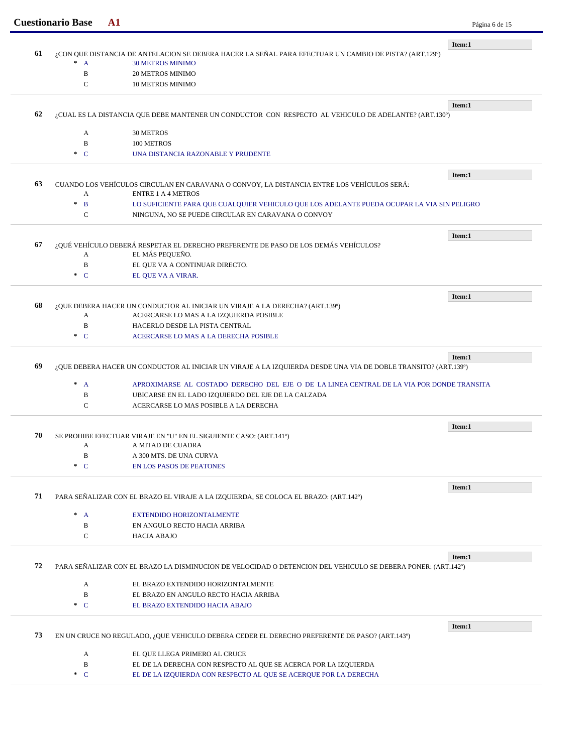|    | <b>Cuestionario Base</b>                                                                                       | ${\bf A1}$                                                                                                   | Página 6 de 15 |  |  |
|----|----------------------------------------------------------------------------------------------------------------|--------------------------------------------------------------------------------------------------------------|----------------|--|--|
|    |                                                                                                                |                                                                                                              | Item:1         |  |  |
| 61 |                                                                                                                | ¿CON QUE DISTANCIA DE ANTELACION SE DEBERA HACER LA SEÑAL PARA EFECTUAR UN CAMBIO DE PISTA? (ART.129°)       |                |  |  |
|    | $\pm$<br>$\overline{A}$                                                                                        | <b>30 METROS MINIMO</b>                                                                                      |                |  |  |
|    | $\mathbf B$<br>$\mathsf{C}$                                                                                    | 20 METROS MINIMO                                                                                             |                |  |  |
|    |                                                                                                                | <b>10 METROS MINIMO</b>                                                                                      |                |  |  |
| 62 |                                                                                                                | ¿CUAL ES LA DISTANCIA QUE DEBE MANTENER UN CONDUCTOR CON RESPECTO AL VEHICULO DE ADELANTE? (ART.130°)        | Item:1         |  |  |
|    |                                                                                                                |                                                                                                              |                |  |  |
|    | A                                                                                                              | 30 METROS                                                                                                    |                |  |  |
|    | B                                                                                                              | 100 METROS                                                                                                   |                |  |  |
|    | $\ast$ C                                                                                                       | UNA DISTANCIA RAZONABLE Y PRUDENTE                                                                           |                |  |  |
|    |                                                                                                                |                                                                                                              | Item:1         |  |  |
| 63 |                                                                                                                | CUANDO LOS VEHÍCULOS CIRCULAN EN CARAVANA O CONVOY, LA DISTANCIA ENTRE LOS VEHÍCULOS SERÁ:                   |                |  |  |
|    | A<br>$\ast$                                                                                                    | <b>ENTRE 1 A 4 METROS</b>                                                                                    |                |  |  |
|    | $\mathbf{B}$                                                                                                   | LO SUFICIENTE PARA QUE CUALQUIER VEHICULO QUE LOS ADELANTE PUEDA OCUPAR LA VIA SIN PELIGRO                   |                |  |  |
|    | $\mathsf{C}$                                                                                                   | NINGUNA. NO SE PUEDE CIRCULAR EN CARAVANA O CONVOY                                                           |                |  |  |
|    |                                                                                                                |                                                                                                              | Item:1         |  |  |
| 67 |                                                                                                                | ¿QUÉ VEHÍCULO DEBERÁ RESPETAR EL DERECHO PREFERENTE DE PASO DE LOS DEMÁS VEHÍCULOS?<br>EL MÁS PEQUEÑO.       |                |  |  |
|    | A<br>B                                                                                                         | EL QUE VA A CONTINUAR DIRECTO.                                                                               |                |  |  |
|    |                                                                                                                |                                                                                                              |                |  |  |
|    | $\ast$ C                                                                                                       | EL QUE VA A VIRAR.                                                                                           |                |  |  |
|    |                                                                                                                |                                                                                                              | Item:1         |  |  |
| 68 |                                                                                                                | ¿QUE DEBERA HACER UN CONDUCTOR AL INICIAR UN VIRAJE A LA DERECHA? (ART.139º)                                 |                |  |  |
|    | A                                                                                                              | ACERCARSE LO MAS A LA IZQUIERDA POSIBLE                                                                      |                |  |  |
|    | B                                                                                                              | HACERLO DESDE LA PISTA CENTRAL                                                                               |                |  |  |
|    | $\ast$ C                                                                                                       | ACERCARSE LO MAS A LA DERECHA POSIBLE                                                                        |                |  |  |
|    |                                                                                                                |                                                                                                              | Item:1         |  |  |
| 69 | ¿QUE DEBERA HACER UN CONDUCTOR AL INICIAR UN VIRAJE A LA IZQUIERDA DESDE UNA VIA DE DOBLE TRANSITO? (ART.139°) |                                                                                                              |                |  |  |
|    | $\mathcal{H}$<br>$\mathbf{A}$                                                                                  | APROXIMARSE AL COSTADO DERECHO DEL EJE O DE LA LINEA CENTRAL DE LA VIA POR DONDE TRANSITA                    |                |  |  |
|    | B                                                                                                              | UBICARSE EN EL LADO IZQUIERDO DEL EJE DE LA CALZADA                                                          |                |  |  |
|    | $\mathcal{C}$                                                                                                  | ACERCARSE LO MAS POSIBLE A LA DERECHA                                                                        |                |  |  |
|    |                                                                                                                |                                                                                                              |                |  |  |
|    |                                                                                                                |                                                                                                              | Item:1         |  |  |
| 70 |                                                                                                                | SE PROHIBE EFECTUAR VIRAJE EN "U" EN EL SIGUIENTE CASO: (ART.141º)                                           |                |  |  |
|    | A                                                                                                              | A MITAD DE CUADRA                                                                                            |                |  |  |
|    | B                                                                                                              | A 300 MTS. DE UNA CURVA                                                                                      |                |  |  |
|    | $\ast$ C                                                                                                       | <b>EN LOS PASOS DE PEATONES</b>                                                                              |                |  |  |
|    |                                                                                                                |                                                                                                              | Item:1         |  |  |
| 71 |                                                                                                                | PARA SEÑALIZAR CON EL BRAZO EL VIRAJE A LA IZQUIERDA, SE COLOCA EL BRAZO: (ART.142º)                         |                |  |  |
|    | $^*$ A                                                                                                         | EXTENDIDO HORIZONTALMENTE                                                                                    |                |  |  |
|    | B                                                                                                              | EN ANGULO RECTO HACIA ARRIBA                                                                                 |                |  |  |
|    | $\mathbf C$                                                                                                    | <b>HACIA ABAJO</b>                                                                                           |                |  |  |
|    |                                                                                                                |                                                                                                              |                |  |  |
| 72 |                                                                                                                | PARA SEÑALIZAR CON EL BRAZO LA DISMINUCION DE VELOCIDAD O DETENCION DEL VEHICULO SE DEBERA PONER: (ART.142°) | Item:1         |  |  |
|    |                                                                                                                |                                                                                                              |                |  |  |
|    | A                                                                                                              | EL BRAZO EXTENDIDO HORIZONTALMENTE                                                                           |                |  |  |
|    | B                                                                                                              | EL BRAZO EN ANGULO RECTO HACIA ARRIBA                                                                        |                |  |  |
|    | $C^*$                                                                                                          | EL BRAZO EXTENDIDO HACIA ABAJO                                                                               |                |  |  |
|    |                                                                                                                |                                                                                                              | Item:1         |  |  |
| 73 |                                                                                                                | EN UN CRUCE NO REGULADO, ¿QUE VEHICULO DEBERA CEDER EL DERECHO PREFERENTE DE PASO? (ART.143º)                |                |  |  |
|    | A                                                                                                              | EL QUE LLEGA PRIMERO AL CRUCE                                                                                |                |  |  |
|    | B                                                                                                              | EL DE LA DERECHA CON RESPECTO AL QUE SE ACERCA POR LA IZQUIERDA                                              |                |  |  |
|    | $\ast$ C                                                                                                       | EL DE LA IZQUIERDA CON RESPECTO AL QUE SE ACERQUE POR LA DERECHA                                             |                |  |  |
|    |                                                                                                                |                                                                                                              |                |  |  |
|    |                                                                                                                |                                                                                                              |                |  |  |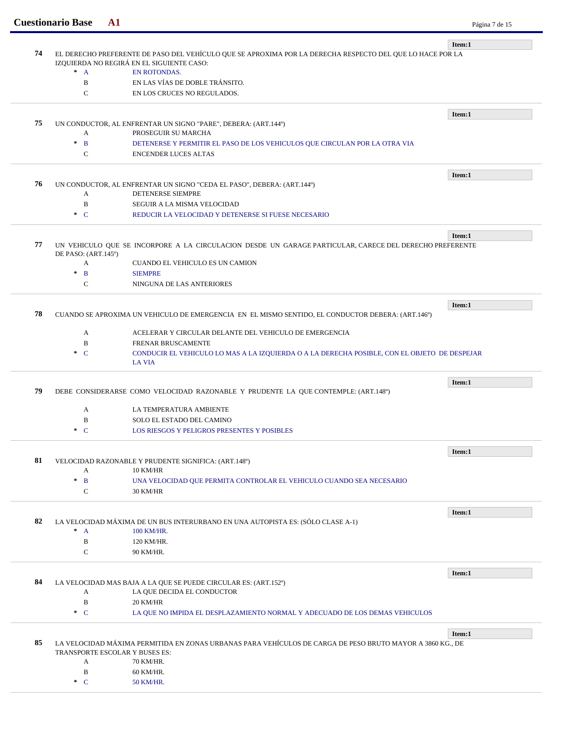|    | <b>Cuestionario Base</b> | ${\bf A1}$                                                                                                | Página 7 de 15 |
|----|--------------------------|-----------------------------------------------------------------------------------------------------------|----------------|
|    |                          |                                                                                                           | Item:1         |
| 74 |                          | EL DERECHO PREFERENTE DE PASO DEL VEHÍCULO QUE SE APROXIMA POR LA DERECHA RESPECTO DEL QUE LO HACE POR LA |                |
|    |                          | IZQUIERDA NO REGIRÁ EN EL SIGUIENTE CASO:                                                                 |                |
|    | $^*$ A                   | <b>EN ROTONDAS.</b>                                                                                       |                |
|    | B                        | EN LAS VÍAS DE DOBLE TRÁNSITO.                                                                            |                |
|    | $\mathcal{C}$            | EN LOS CRUCES NO REGULADOS.                                                                               |                |
|    |                          |                                                                                                           | Item:1         |
| 75 |                          | UN CONDUCTOR, AL ENFRENTAR UN SIGNO "PARE", DEBERA: (ART.144°)                                            |                |
|    | А                        | PROSEGUIR SU MARCHA                                                                                       |                |
|    | $\ast$<br>$\mathbf{B}$   | DETENERSE Y PERMITIR EL PASO DE LOS VEHICULOS QUE CIRCULAN POR LA OTRA VIA                                |                |
|    | $\mathbf C$              | <b>ENCENDER LUCES ALTAS</b>                                                                               |                |
|    |                          |                                                                                                           | Item:1         |
| 76 |                          | UN CONDUCTOR, AL ENFRENTAR UN SIGNO "CEDA EL PASO", DEBERA: (ART.144°)                                    |                |
|    | A                        | DETENERSE SIEMPRE                                                                                         |                |
|    | $\, {\bf B}$             | SEGUIR A LA MISMA VELOCIDAD                                                                               |                |
|    | $\ast$ C                 | REDUCIR LA VELOCIDAD Y DETENERSE SI FUESE NECESARIO                                                       |                |
|    |                          |                                                                                                           |                |
| 77 |                          | UN VEHICULO QUE SE INCORPORE A LA CIRCULACION DESDE UN GARAGE PARTICULAR, CARECE DEL DERECHO PREFERENTE   | Item:1         |
|    | DE PASO: (ART.145°)      |                                                                                                           |                |
|    | A                        | CUANDO EL VEHICULO ES UN CAMION                                                                           |                |
|    | $\ast$<br>$\mathbf{B}$   | <b>SIEMPRE</b>                                                                                            |                |
|    | C                        | NINGUNA DE LAS ANTERIORES                                                                                 |                |
|    |                          |                                                                                                           | Item:1         |
| 78 |                          | CUANDO SE APROXIMA UN VEHICULO DE EMERGENCIA EN EL MISMO SENTIDO, EL CONDUCTOR DEBERA: (ART.146°)         |                |
|    |                          |                                                                                                           |                |
|    | A                        | ACELERAR Y CIRCULAR DELANTE DEL VEHICULO DE EMERGENCIA                                                    |                |
|    | $\, {\bf B}$             | FRENAR BRUSCAMENTE                                                                                        |                |
|    | $\ast$ C                 | CONDUCIR EL VEHICULO LO MAS A LA IZQUIERDA O A LA DERECHA POSIBLE, CON EL OBJETO DE DESPEJAR              |                |
|    |                          | <b>LA VIA</b>                                                                                             |                |
|    |                          |                                                                                                           | Item:1         |
| 79 |                          | DEBE CONSIDERARSE COMO VELOCIDAD RAZONABLE Y PRUDENTE LA QUE CONTEMPLE: (ART.148°)                        |                |
|    | A                        | LA TEMPERATURA AMBIENTE                                                                                   |                |
|    | B                        | SOLO EL ESTADO DEL CAMINO                                                                                 |                |
|    | $\ast$ C                 | <b>LOS RIESGOS Y PELIGROS PRESENTES Y POSIBLES</b>                                                        |                |
|    |                          |                                                                                                           |                |
| 81 |                          | VELOCIDAD RAZONABLE Y PRUDENTE SIGNIFICA: (ART.148º)                                                      | Item:1         |
|    | A                        | <b>10 KM/HR</b>                                                                                           |                |
|    | $\ast$<br>$\mathbf{B}$   | UNA VELOCIDAD QUE PERMITA CONTROLAR EL VEHICULO CUANDO SEA NECESARIO                                      |                |
|    | ${\bf C}$                | 30 KM/HR                                                                                                  |                |
|    |                          |                                                                                                           |                |
| 82 |                          |                                                                                                           | Item:1         |
|    | $^*$ A                   | LA VELOCIDAD MÁXIMA DE UN BUS INTERURBANO EN UNA AUTOPISTA ES: (SÓLO CLASE A-1)<br>100 KM/HR.             |                |
|    | B                        | 120 KM/HR.                                                                                                |                |
|    | C                        | 90 KM/HR.                                                                                                 |                |
|    |                          |                                                                                                           |                |
|    |                          |                                                                                                           | Item:1         |
| 84 |                          | LA VELOCIDAD MAS BAJA A LA QUE SE PUEDE CIRCULAR ES: (ART.152°)                                           |                |
|    | A                        | LA QUE DECIDA EL CONDUCTOR                                                                                |                |
|    | $\, {\bf B}$             | 20 KM/HR                                                                                                  |                |
|    | $C^*$                    | LA QUE NO IMPIDA EL DESPLAZAMIENTO NORMAL Y ADECUADO DE LOS DEMAS VEHICULOS                               |                |
|    |                          |                                                                                                           | Item:1         |
| 85 |                          | LA VELOCIDAD MÁXIMA PERMITIDA EN ZONAS URBANAS PARA VEHÍCULOS DE CARGA DE PESO BRUTO MAYOR A 3860 KG., DE |                |
|    |                          | TRANSPORTE ESCOLAR Y BUSES ES:                                                                            |                |
|    | A                        | 70 KM/HR.                                                                                                 |                |
|    | $\, {\bf B}$             | 60 KM/HR.                                                                                                 |                |
|    | $\ast$ C                 | 50 KM/HR.                                                                                                 |                |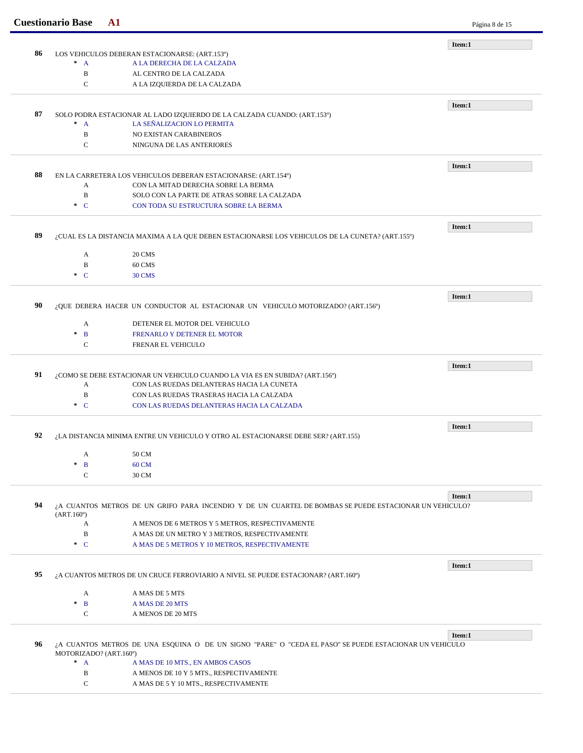|    | <b>Cuestionario Base</b><br>${\bf A1}$ |                                                                                                        | Página 8 de 15 |
|----|----------------------------------------|--------------------------------------------------------------------------------------------------------|----------------|
|    |                                        |                                                                                                        | Item:1         |
| 86 |                                        | LOS VEHICULOS DEBERAN ESTACIONARSE: (ART.153º)                                                         |                |
|    | $\ast$<br>$\mathbf{A}$                 | A LA DERECHA DE LA CALZADA                                                                             |                |
|    | $\, {\bf B}$                           | AL CENTRO DE LA CALZADA                                                                                |                |
|    | $\mathsf{C}$                           | A LA IZQUIERDA DE LA CALZADA                                                                           |                |
|    |                                        |                                                                                                        | Item:1         |
| 87 |                                        | SOLO PODRA ESTACIONAR AL LADO IZQUIERDO DE LA CALZADA CUANDO: (ART.153º)                               |                |
|    | $^*$ A                                 | LA SEÑALIZACION LO PERMITA                                                                             |                |
|    | $\mathbf B$                            | NO EXISTAN CARABINEROS                                                                                 |                |
|    | $\mathbf C$                            | NINGUNA DE LAS ANTERIORES                                                                              |                |
|    |                                        |                                                                                                        |                |
| 88 |                                        | EN LA CARRETERA LOS VEHICULOS DEBERAN ESTACIONARSE: (ART.154º)                                         | Item:1         |
|    | A                                      | CON LA MITAD DERECHA SOBRE LA BERMA                                                                    |                |
|    | $\, {\bf B}$                           | SOLO CON LA PARTE DE ATRAS SOBRE LA CALZADA                                                            |                |
|    | $C^*$                                  | CON TODA SU ESTRUCTURA SOBRE LA BERMA                                                                  |                |
|    |                                        |                                                                                                        |                |
|    |                                        |                                                                                                        | Item:1         |
| 89 |                                        | ¿CUAL ES LA DISTANCIA MAXIMA A LA QUE DEBEN ESTACIONARSE LOS VEHICULOS DE LA CUNETA? (ART.155º)        |                |
|    | A                                      | 20 CMS                                                                                                 |                |
|    | B                                      | 60 CMS                                                                                                 |                |
|    | $C^*$                                  | 30 CMS                                                                                                 |                |
|    |                                        |                                                                                                        |                |
|    |                                        |                                                                                                        | Item:1         |
| 90 |                                        | ¿QUE DEBERA HACER UN CONDUCTOR AL ESTACIONAR UN VEHICULO MOTORIZADO? (ART.156°)                        |                |
|    | A                                      | DETENER EL MOTOR DEL VEHICULO                                                                          |                |
|    | $\ast$<br>$\mathbf{B}$                 | FRENARLO Y DETENER EL MOTOR                                                                            |                |
|    | $\mathbf C$                            | FRENAR EL VEHICULO                                                                                     |                |
|    |                                        |                                                                                                        |                |
|    |                                        |                                                                                                        | Item:1         |
| 91 |                                        | ¿COMO SE DEBE ESTACIONAR UN VEHICULO CUANDO LA VIA ES EN SUBIDA? (ART.156°)                            |                |
|    | А                                      | CON LAS RUEDAS DELANTERAS HACIA LA CUNETA                                                              |                |
|    | B                                      | CON LAS RUEDAS TRASERAS HACIA LA CALZADA                                                               |                |
|    | $\cdot$ C                              | CON LAS RUEDAS DELANTERAS HACIA LA CALZADA                                                             |                |
|    |                                        |                                                                                                        | Item:1         |
| 92 |                                        | ¿LA DISTANCIA MINIMA ENTRE UN VEHICULO Y OTRO AL ESTACIONARSE DEBE SER? (ART.155)                      |                |
|    | A                                      | 50 CM                                                                                                  |                |
|    | B                                      | 60 CM                                                                                                  |                |
|    | $\mathbf C$                            | 30 CM                                                                                                  |                |
|    |                                        |                                                                                                        |                |
|    |                                        |                                                                                                        | Item:1         |
| 94 |                                        | ¿A CUANTOS METROS DE UN GRIFO PARA INCENDIO Y DE UN CUARTEL DE BOMBAS SE PUEDE ESTACIONAR UN VEHICULO? |                |
|    | (ART.160)<br>A                         | A MENOS DE 6 METROS Y 5 METROS, RESPECTIVAMENTE                                                        |                |
|    | $\, {\bf B}$                           | A MAS DE UN METRO Y 3 METROS, RESPECTIVAMENTE                                                          |                |
|    | $C^*$                                  | A MAS DE 5 METROS Y 10 METROS, RESPECTIVAMENTE                                                         |                |
|    |                                        |                                                                                                        |                |
|    |                                        |                                                                                                        | Item:1         |
| 95 |                                        | ¿A CUANTOS METROS DE UN CRUCE FERROVIARIO A NIVEL SE PUEDE ESTACIONAR? (ART.160°)                      |                |
|    | A                                      | A MAS DE 5 MTS                                                                                         |                |
|    | $\ast$<br>$\mathbf{B}$                 | A MAS DE 20 MTS                                                                                        |                |
|    | C                                      | A MENOS DE 20 MTS                                                                                      |                |
|    |                                        |                                                                                                        |                |
|    |                                        |                                                                                                        | Item:1         |
| 96 | MOTORIZADO? (ART.160°)                 | ¿A CUANTOS METROS DE UNA ESQUINA O DE UN SIGNO "PARE" O "CEDA EL PASO" SE PUEDE ESTACIONAR UN VEHICULO |                |
|    | $^*$ A                                 | A MAS DE 10 MTS., EN AMBOS CASOS                                                                       |                |
|    | B                                      | A MENOS DE 10 Y 5 MTS., RESPECTIVAMENTE                                                                |                |
|    | $\mathsf{C}$                           | A MAS DE 5 Y 10 MTS., RESPECTIVAMENTE                                                                  |                |
|    |                                        |                                                                                                        |                |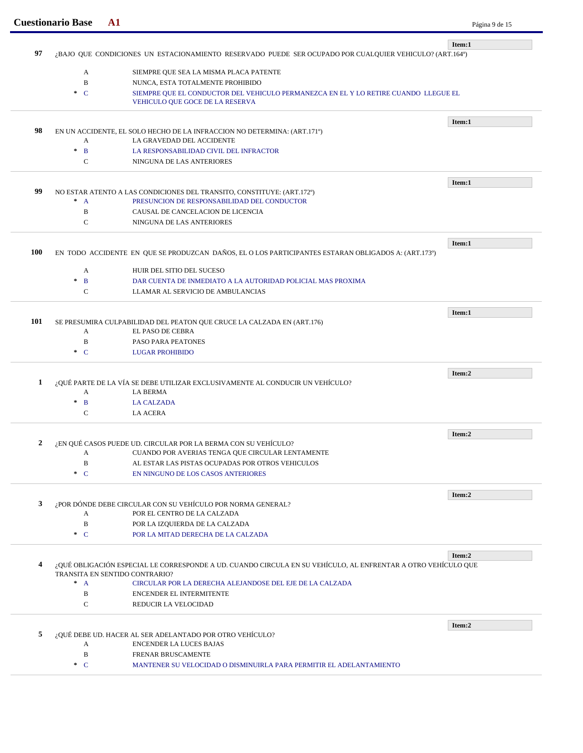|                         | <b>Cuestionario Base</b><br>${\bf A1}$ |                                                                                                               | Página 9 de 15 |
|-------------------------|----------------------------------------|---------------------------------------------------------------------------------------------------------------|----------------|
|                         |                                        |                                                                                                               | Item:1         |
| 97                      |                                        | ¿BAJO QUE CONDICIONES UN ESTACIONAMIENTO RESERVADO PUEDE SER OCUPADO POR CUALQUIER VEHICULO? (ART.164º)       |                |
|                         | A                                      | SIEMPRE QUE SEA LA MISMA PLACA PATENTE                                                                        |                |
|                         | B                                      | NUNCA, ESTA TOTALMENTE PROHIBIDO                                                                              |                |
|                         | $\ast$ C                               | SIEMPRE QUE EL CONDUCTOR DEL VEHICULO PERMANEZCA EN EL Y LO RETIRE CUANDO LLEGUE EL                           |                |
|                         |                                        | VEHICULO QUE GOCE DE LA RESERVA                                                                               |                |
|                         |                                        |                                                                                                               | Item:1         |
| 98                      |                                        | EN UN ACCIDENTE, EL SOLO HECHO DE LA INFRACCION NO DETERMINA: (ART.171º)                                      |                |
|                         | A                                      | LA GRAVEDAD DEL ACCIDENTE                                                                                     |                |
|                         | $\ast$<br>$\mathbf{B}$                 | LA RESPONSABILIDAD CIVIL DEL INFRACTOR                                                                        |                |
|                         | $\mathsf{C}$                           | NINGUNA DE LAS ANTERIORES                                                                                     |                |
|                         |                                        |                                                                                                               | Item:1         |
| 99                      |                                        | NO ESTAR ATENTO A LAS CONDICIONES DEL TRANSITO, CONSTITUYE: (ART.172º)                                        |                |
|                         | $^*$ A                                 | PRESUNCION DE RESPONSABILIDAD DEL CONDUCTOR                                                                   |                |
|                         | $\, {\bf B}$                           | CAUSAL DE CANCELACION DE LICENCIA                                                                             |                |
|                         | $\mathsf{C}$                           | NINGUNA DE LAS ANTERIORES                                                                                     |                |
|                         |                                        |                                                                                                               | Item:1         |
| <b>100</b>              |                                        | EN TODO ACCIDENTE EN QUE SE PRODUZCAN DAÑOS, EL O LOS PARTICIPANTES ESTARAN OBLIGADOS A: (ART.173°)           |                |
|                         |                                        |                                                                                                               |                |
|                         | A                                      | HUIR DEL SITIO DEL SUCESO                                                                                     |                |
|                         | $\ast$<br>B                            | DAR CUENTA DE INMEDIATO A LA AUTORIDAD POLICIAL MAS PROXIMA                                                   |                |
|                         | $\mathcal{C}$                          | LLAMAR AL SERVICIO DE AMBULANCIAS                                                                             |                |
|                         |                                        |                                                                                                               | Item:1         |
| 101                     | A                                      | SE PRESUMIRA CULPABILIDAD DEL PEATON QUE CRUCE LA CALZADA EN (ART.176)<br>EL PASO DE CEBRA                    |                |
|                         | $\, {\bf B}$                           | PASO PARA PEATONES                                                                                            |                |
|                         | $\cdot$ C                              |                                                                                                               |                |
|                         |                                        | <b>LUGAR PROHIBIDO</b>                                                                                        |                |
|                         |                                        |                                                                                                               | Item:2         |
| 1                       |                                        | ¿QUÉ PARTE DE LA VÍA SE DEBE UTILIZAR EXCLUSIVAMENTE AL CONDUCIR UN VEHÍCULO?                                 |                |
|                         | A                                      | <b>LA BERMA</b>                                                                                               |                |
|                         | $\mathbf{B}$<br>$\ast$                 | <b>LA CALZADA</b>                                                                                             |                |
|                         | $\mathbf C$                            | <b>LA ACERA</b>                                                                                               |                |
|                         |                                        |                                                                                                               | Item:2         |
| 2                       |                                        | ¿EN QUÉ CASOS PUEDE UD. CIRCULAR POR LA BERMA CON SU VEHÍCULO?                                                |                |
|                         | A                                      | CUANDO POR AVERIAS TENGA QUE CIRCULAR LENTAMENTE                                                              |                |
|                         | $\, {\bf B}$                           | AL ESTAR LAS PISTAS OCUPADAS POR OTROS VEHICULOS                                                              |                |
|                         | $C^*$                                  | EN NINGUNO DE LOS CASOS ANTERIORES                                                                            |                |
|                         |                                        |                                                                                                               | Item:2         |
| 3                       |                                        | ¿POR DÓNDE DEBE CIRCULAR CON SU VEHÍCULO POR NORMA GENERAL?                                                   |                |
|                         | A                                      | POR EL CENTRO DE LA CALZADA                                                                                   |                |
|                         | $\, {\bf B}$                           | POR LA IZQUIERDA DE LA CALZADA                                                                                |                |
|                         | $\cdot$ C                              | POR LA MITAD DERECHA DE LA CALZADA                                                                            |                |
|                         |                                        |                                                                                                               | Item:2         |
| $\overline{\mathbf{4}}$ |                                        | ¿QUÉ OBLIGACIÓN ESPECIAL LE CORRESPONDE A UD. CUANDO CIRCULA EN SU VEHÍCULO, AL ENFRENTAR A OTRO VEHÍCULO QUE |                |
|                         | TRANSITA EN SENTIDO CONTRARIO?         |                                                                                                               |                |
|                         | $^*$ A                                 | CIRCULAR POR LA DERECHA ALEJANDOSE DEL EJE DE LA CALZADA                                                      |                |
|                         | $\, {\bf B}$                           | ENCENDER EL INTERMITENTE                                                                                      |                |
|                         | $\mathbf C$                            | REDUCIR LA VELOCIDAD                                                                                          |                |
|                         |                                        |                                                                                                               | Item:2         |
| 5                       |                                        | ¿QUÉ DEBE UD. HACER AL SER ADELANTADO POR OTRO VEHÍCULO?                                                      |                |
|                         | A                                      | ENCENDER LA LUCES BAJAS                                                                                       |                |
|                         | B                                      | FRENAR BRUSCAMENTE                                                                                            |                |
|                         |                                        | MANTENER SU VELOCIDAD O DISMINUIRLA PARA PERMITIR EL ADELANTAMIENTO                                           |                |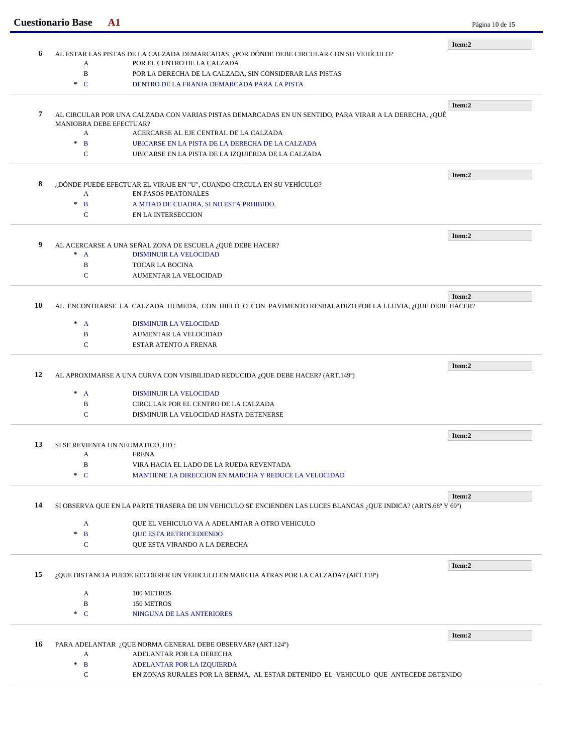|    | <b>Cuestionario Base</b><br>${\bf A1}$ |                                                                                                                | Página 10 de 15 |
|----|----------------------------------------|----------------------------------------------------------------------------------------------------------------|-----------------|
|    |                                        |                                                                                                                | Item:2          |
| 6  |                                        | AL ESTAR LAS PISTAS DE LA CALZADA DEMARCADAS, ¿POR DÓNDE DEBE CIRCULAR CON SU VEHÍCULO?                        |                 |
|    | A                                      | POR EL CENTRO DE LA CALZADA                                                                                    |                 |
|    | $\mathbf B$<br>$C^*$                   | POR LA DERECHA DE LA CALZADA, SIN CONSIDERAR LAS PISTAS                                                        |                 |
|    |                                        | DENTRO DE LA FRANJA DEMARCADA PARA LA PISTA                                                                    |                 |
|    |                                        |                                                                                                                | Item:2          |
| 7  |                                        | AL CIRCULAR POR UNA CALZADA CON VARIAS PISTAS DEMARCADAS EN UN SENTIDO, PARA VIRAR A LA DERECHA, ¿QUÉ          |                 |
|    | MANIOBRA DEBE EFECTUAR?                |                                                                                                                |                 |
|    | A                                      | ACERCARSE AL EJE CENTRAL DE LA CALZADA                                                                         |                 |
|    | $\ast$<br>$\mathbf{B}$                 | UBICARSE EN LA PISTA DE LA DERECHA DE LA CALZADA                                                               |                 |
|    | $\mathbf C$                            | UBICARSE EN LA PISTA DE LA IZQUIERDA DE LA CALZADA                                                             |                 |
|    |                                        |                                                                                                                | Item:2          |
| 8  |                                        | ¿DÓNDE PUEDE EFECTUAR EL VIRAJE EN "U", CUANDO CIRCULA EN SU VEHÍCULO?                                         |                 |
|    | A                                      | EN PASOS PEATONALES                                                                                            |                 |
|    | $\ast$<br>$\mathbf{B}$                 | A MITAD DE CUADRA, SI NO ESTA PRHIBIDO.                                                                        |                 |
|    | C                                      | EN LA INTERSECCION                                                                                             |                 |
|    |                                        |                                                                                                                | Item:2          |
| 9  |                                        | AL ACERCARSE A UNA SEÑAL ZONA DE ESCUELA ¿QUÉ DEBE HACER?                                                      |                 |
|    | $^*$ A                                 | <b>DISMINUIR LA VELOCIDAD</b>                                                                                  |                 |
|    | B                                      | TOCAR LA BOCINA                                                                                                |                 |
|    | $\mathbf C$                            | <b>AUMENTAR LA VELOCIDAD</b>                                                                                   |                 |
|    |                                        |                                                                                                                |                 |
| 10 |                                        | AL ENCONTRARSE LA CALZADA HUMEDA, CON HIELO O CON PAVIMENTO RESBALADIZO POR LA LLUVIA, ¿QUE DEBE HACER?        | Item:2          |
|    |                                        |                                                                                                                |                 |
|    | $\ast$<br>$\mathbf{A}$                 | DISMINUIR LA VELOCIDAD                                                                                         |                 |
|    | B                                      | <b>AUMENTAR LA VELOCIDAD</b>                                                                                   |                 |
|    | $\mathbf C$                            | <b>ESTAR ATENTO A FRENAR</b>                                                                                   |                 |
|    |                                        |                                                                                                                | Item:2          |
| 12 |                                        | AL APROXIMARSE A UNA CURVA CON VISIBILIDAD REDUCIDA ¿QUE DEBE HACER? (ART.149°)                                |                 |
|    | $\ast$<br>$\mathbf{A}$                 | <b>DISMINUIR LA VELOCIDAD</b>                                                                                  |                 |
|    | B                                      | CIRCULAR POR EL CENTRO DE LA CALZADA                                                                           |                 |
|    | $\mathbf C$                            | DISMINUIR LA VELOCIDAD HASTA DETENERSE                                                                         |                 |
|    |                                        |                                                                                                                |                 |
| 13 | SI SE REVIENTA UN NEUMATICO, UD.:      |                                                                                                                | Item:2          |
|    | A                                      | <b>FRENA</b>                                                                                                   |                 |
|    | B                                      | VIRA HACIA EL LADO DE LA RUEDA REVENTADA                                                                       |                 |
|    | $\ast$ C                               | MANTIENE LA DIRECCION EN MARCHA Y REDUCE LA VELOCIDAD                                                          |                 |
|    |                                        |                                                                                                                |                 |
| 14 |                                        | SI OBSERVA QUE EN LA PARTE TRASERA DE UN VEHICULO SE ENCIENDEN LAS LUCES BLANCAS ¿QUE INDICA? (ARTS.68º Y 69º) | Item:2          |
|    |                                        |                                                                                                                |                 |
|    | A                                      | QUE EL VEHICULO VA A ADELANTAR A OTRO VEHICULO                                                                 |                 |
|    | $\ast$<br>$\mathbf{B}$                 | <b>QUE ESTA RETROCEDIENDO</b>                                                                                  |                 |
|    |                                        | QUE ESTA VIRANDO A LA DERECHA                                                                                  |                 |
|    | $\mathbf C$                            |                                                                                                                |                 |
|    |                                        |                                                                                                                | Item:2          |
|    |                                        | ¿QUE DISTANCIA PUEDE RECORRER UN VEHICULO EN MARCHA ATRAS POR LA CALZADA? (ART.119º)                           |                 |
|    |                                        |                                                                                                                |                 |
|    | A                                      | 100 METROS                                                                                                     |                 |
|    | B<br>$\ast$ C                          | 150 METROS<br>NINGUNA DE LAS ANTERIORES                                                                        |                 |
| 15 |                                        |                                                                                                                |                 |
|    |                                        |                                                                                                                | Item:2          |
| 16 |                                        | PARA ADELANTAR ¿QUE NORMA GENERAL DEBE OBSERVAR? (ART.124º)                                                    |                 |
|    | A<br>$\pm$<br>$\mathbf{B}$             | ADELANTAR POR LA DERECHA<br>ADELANTAR POR LA IZQUIERDA                                                         |                 |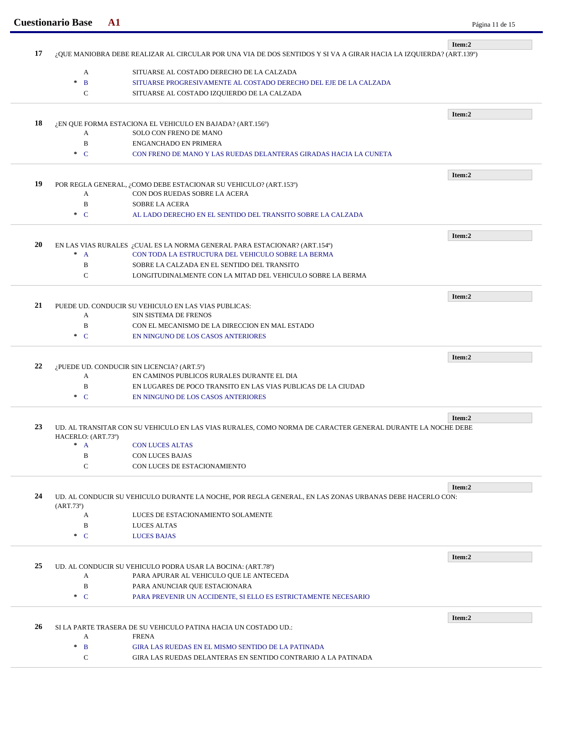|    | <b>Cuestionario Base</b><br>${\bf A1}$                                                                             |                                                                                                            | Página 11 de 15 |
|----|--------------------------------------------------------------------------------------------------------------------|------------------------------------------------------------------------------------------------------------|-----------------|
|    |                                                                                                                    |                                                                                                            | Item:2          |
| 17 | ¿QUE MANIOBRA DEBE REALIZAR AL CIRCULAR POR UNA VIA DE DOS SENTIDOS Y SI VA A GIRAR HACIA LA IZQUIERDA? (ART.139º) |                                                                                                            |                 |
|    | A                                                                                                                  | SITUARSE AL COSTADO DERECHO DE LA CALZADA                                                                  |                 |
|    | $\pm$<br>$\mathbf{B}$                                                                                              | SITUARSE PROGRESIVAMENTE AL COSTADO DERECHO DEL EJE DE LA CALZADA                                          |                 |
|    | $\mathbf C$                                                                                                        | SITUARSE AL COSTADO IZQUIERDO DE LA CALZADA                                                                |                 |
|    |                                                                                                                    |                                                                                                            |                 |
|    |                                                                                                                    |                                                                                                            | Item:2          |
| 18 |                                                                                                                    | ¿EN QUE FORMA ESTACIONA EL VEHICULO EN BAJADA? (ART.156º)                                                  |                 |
|    | A                                                                                                                  | <b>SOLO CON FRENO DE MANO</b>                                                                              |                 |
|    | B                                                                                                                  | <b>ENGANCHADO EN PRIMERA</b>                                                                               |                 |
|    | $C^*$                                                                                                              | CON FRENO DE MANO Y LAS RUEDAS DELANTERAS GIRADAS HACIA LA CUNETA                                          |                 |
|    |                                                                                                                    |                                                                                                            | Item:2          |
| 19 |                                                                                                                    | POR REGLA GENERAL, ¿COMO DEBE ESTACIONAR SU VEHICULO? (ART.153º)                                           |                 |
|    | A                                                                                                                  | CON DOS RUEDAS SOBRE LA ACERA                                                                              |                 |
|    | $\mathbf B$                                                                                                        | <b>SOBRE LA ACERA</b>                                                                                      |                 |
|    | $\ast$ C                                                                                                           | AL LADO DERECHO EN EL SENTIDO DEL TRANSITO SOBRE LA CALZADA                                                |                 |
|    |                                                                                                                    |                                                                                                            | Item:2          |
| 20 |                                                                                                                    | EN LAS VIAS RURALES ¿CUAL ES LA NORMA GENERAL PARA ESTACIONAR? (ART.154º)                                  |                 |
|    | $^*$ A                                                                                                             | CON TODA LA ESTRUCTURA DEL VEHICULO SOBRE LA BERMA                                                         |                 |
|    | B                                                                                                                  | SOBRE LA CALZADA EN EL SENTIDO DEL TRANSITO                                                                |                 |
|    | $\mathbf C$                                                                                                        | LONGITUDINALMENTE CON LA MITAD DEL VEHICULO SOBRE LA BERMA                                                 |                 |
|    |                                                                                                                    |                                                                                                            |                 |
| 21 |                                                                                                                    | PUEDE UD. CONDUCIR SU VEHICULO EN LAS VIAS PUBLICAS:                                                       | Item:2          |
|    | A                                                                                                                  | SIN SISTEMA DE FRENOS                                                                                      |                 |
|    | B                                                                                                                  | CON EL MECANISMO DE LA DIRECCION EN MAL ESTADO                                                             |                 |
|    | $\ast$ C                                                                                                           | EN NINGUNO DE LOS CASOS ANTERIORES                                                                         |                 |
|    |                                                                                                                    |                                                                                                            |                 |
|    |                                                                                                                    |                                                                                                            | Item:2          |
| 22 |                                                                                                                    | ¿PUEDE UD. CONDUCIR SIN LICENCIA? (ART.5°)                                                                 |                 |
|    | A                                                                                                                  | EN CAMINOS PUBLICOS RURALES DURANTE EL DIA                                                                 |                 |
|    | $\bf{B}$                                                                                                           | EN LUGARES DE POCO TRANSITO EN LAS VIAS PUBLICAS DE LA CIUDAD                                              |                 |
|    | $\ast$ C                                                                                                           | EN NINGUNO DE LOS CASOS ANTERIORES                                                                         |                 |
|    |                                                                                                                    |                                                                                                            | Item:2          |
| 23 |                                                                                                                    | UD. AL TRANSITAR CON SU VEHICULO EN LAS VIAS RURALES. COMO NORMA DE CARACTER GENERAL DURANTE LA NOCHE DEBE |                 |
|    | HACERLO: (ART.73º)                                                                                                 |                                                                                                            |                 |
|    | $\mathcal{H}$<br>$\mathbf{A}$                                                                                      | <b>CON LUCES ALTAS</b>                                                                                     |                 |
|    | B                                                                                                                  | <b>CON LUCES BAJAS</b>                                                                                     |                 |
|    | $\mathbf C$                                                                                                        | CON LUCES DE ESTACIONAMIENTO                                                                               |                 |
|    |                                                                                                                    |                                                                                                            | Item:2          |
| 24 |                                                                                                                    | UD. AL CONDUCIR SU VEHICULO DURANTE LA NOCHE, POR REGLA GENERAL, EN LAS ZONAS URBANAS DEBE HACERLO CON:    |                 |
|    | (ART.73)                                                                                                           |                                                                                                            |                 |
|    | A                                                                                                                  | LUCES DE ESTACIONAMIENTO SOLAMENTE                                                                         |                 |
|    | B                                                                                                                  | LUCES ALTAS                                                                                                |                 |
|    | $C^*$                                                                                                              | <b>LUCES BAJAS</b>                                                                                         |                 |
|    |                                                                                                                    |                                                                                                            | Item:2          |
| 25 |                                                                                                                    | UD. AL CONDUCIR SU VEHICULO PODRA USAR LA BOCINA: (ART.78º)                                                |                 |
|    | A                                                                                                                  | PARA APURAR AL VEHICULO QUE LE ANTECEDA                                                                    |                 |
|    | $\, {\bf B}$                                                                                                       | PARA ANUNCIAR QUE ESTACIONARA                                                                              |                 |
|    | $C^*$                                                                                                              | PARA PREVENIR UN ACCIDENTE, SI ELLO ES ESTRICTAMENTE NECESARIO                                             |                 |
|    |                                                                                                                    |                                                                                                            |                 |
| 26 |                                                                                                                    | SI LA PARTE TRASERA DE SU VEHICULO PATINA HACIA UN COSTADO UD.:                                            | Item:2          |
|    | A                                                                                                                  | <b>FRENA</b>                                                                                               |                 |
|    | $\ast$<br>$\mathbf{B}$                                                                                             | GIRA LAS RUEDAS EN EL MISMO SENTIDO DE LA PATINADA                                                         |                 |
|    |                                                                                                                    | GIRA LAS RUEDAS DELANTERAS EN SENTIDO CONTRARIO A LA PATINADA                                              |                 |
|    | $\mathbf C$                                                                                                        |                                                                                                            |                 |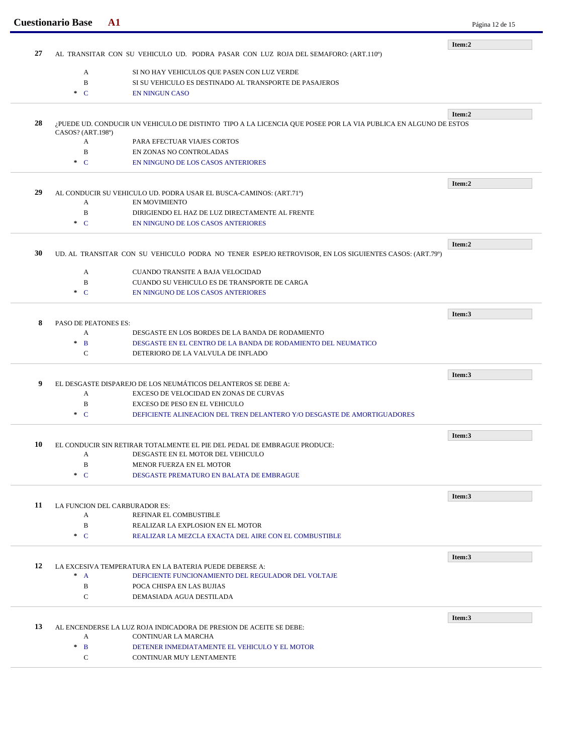|    | <b>Cuestionario Base</b><br>${\bf A1}$                                             |                                                                                                                | Página 12 de 15 |
|----|------------------------------------------------------------------------------------|----------------------------------------------------------------------------------------------------------------|-----------------|
|    |                                                                                    |                                                                                                                | Item:2          |
| 27 | AL TRANSITAR CON SU VEHICULO UD. PODRA PASAR CON LUZ ROJA DEL SEMAFORO: (ART.110°) |                                                                                                                |                 |
|    | $\mathbf{A}$                                                                       | SI NO HAY VEHICULOS QUE PASEN CON LUZ VERDE                                                                    |                 |
|    | B                                                                                  | SI SU VEHICULO ES DESTINADO AL TRANSPORTE DE PASAJEROS                                                         |                 |
|    | $\ast$ C                                                                           | <b>EN NINGUN CASO</b>                                                                                          |                 |
|    |                                                                                    |                                                                                                                |                 |
|    |                                                                                    |                                                                                                                | Item:2          |
| 28 |                                                                                    | ¿PUEDE UD. CONDUCIR UN VEHICULO DE DISTINTO TIPO A LA LICENCIA QUE POSEE POR LA VIA PUBLICA EN ALGUNO DE ESTOS |                 |
|    | CASOS? (ART.198º)                                                                  |                                                                                                                |                 |
|    | $\mathbf{A}$<br>B                                                                  | PARA EFECTUAR VIAJES CORTOS<br>EN ZONAS NO CONTROLADAS                                                         |                 |
|    | $\ast$ C                                                                           | EN NINGUNO DE LOS CASOS ANTERIORES                                                                             |                 |
|    |                                                                                    |                                                                                                                |                 |
|    |                                                                                    |                                                                                                                | Item:2          |
| 29 |                                                                                    | AL CONDUCIR SU VEHICULO UD. PODRA USAR EL BUSCA-CAMINOS: (ART.71º)                                             |                 |
|    | A                                                                                  | <b>EN MOVIMIENTO</b>                                                                                           |                 |
|    | B                                                                                  | DIRIGIENDO EL HAZ DE LUZ DIRECTAMENTE AL FRENTE                                                                |                 |
|    | $\cdot$ C                                                                          | EN NINGUNO DE LOS CASOS ANTERIORES                                                                             |                 |
|    |                                                                                    |                                                                                                                |                 |
| 30 |                                                                                    | UD. AL TRANSITAR CON SU VEHICULO PODRA NO TENER ESPEJO RETROVISOR, EN LOS SIGUIENTES CASOS: (ART.79°)          | Item:2          |
|    |                                                                                    |                                                                                                                |                 |
|    | $\mathbf{A}$                                                                       | CUANDO TRANSITE A BAJA VELOCIDAD                                                                               |                 |
|    | B                                                                                  | CUANDO SU VEHICULO ES DE TRANSPORTE DE CARGA                                                                   |                 |
|    | $\ast$ C                                                                           | EN NINGUNO DE LOS CASOS ANTERIORES                                                                             |                 |
|    |                                                                                    |                                                                                                                | Item:3          |
| 8  | PASO DE PEATONES ES:                                                               |                                                                                                                |                 |
|    | A                                                                                  | DESGASTE EN LOS BORDES DE LA BANDA DE RODAMIENTO                                                               |                 |
|    | $\ast$<br>$\mathbf{B}$                                                             | DESGASTE EN EL CENTRO DE LA BANDA DE RODAMIENTO DEL NEUMATICO                                                  |                 |
|    | $\mathbf C$                                                                        | DETERIORO DE LA VALVULA DE INFLADO                                                                             |                 |
|    |                                                                                    |                                                                                                                |                 |
|    |                                                                                    |                                                                                                                | Item:3          |
| 9  |                                                                                    | EL DESGASTE DISPAREJO DE LOS NEUMÁTICOS DELANTEROS SE DEBE A:                                                  |                 |
|    | A                                                                                  | EXCESO DE VELOCIDAD EN ZONAS DE CURVAS                                                                         |                 |
|    | B<br>$\cdot$ C                                                                     | EXCESO DE PESO EN EL VEHICULO                                                                                  |                 |
|    |                                                                                    | DEFICIENTE ALINEACION DEL TREN DELANTERO Y/O DESGASTE DE AMORTIGUADORES                                        |                 |
|    |                                                                                    |                                                                                                                | Item:3          |
| 10 |                                                                                    | EL CONDUCIR SIN RETIRAR TOTALMENTE EL PIE DEL PEDAL DE EMBRAGUE PRODUCE:                                       |                 |
|    | A                                                                                  | DESGASTE EN EL MOTOR DEL VEHICULO                                                                              |                 |
|    | $\mathbf B$                                                                        | MENOR FUERZA EN EL MOTOR                                                                                       |                 |
|    | $\ast$ C                                                                           | DESGASTE PREMATURO EN BALATA DE EMBRAGUE                                                                       |                 |
|    |                                                                                    |                                                                                                                |                 |
| 11 | LA FUNCION DEL CARBURADOR ES:                                                      |                                                                                                                | Item:3          |
|    | A                                                                                  | REFINAR EL COMBUSTIBLE                                                                                         |                 |
|    | B                                                                                  | REALIZAR LA EXPLOSION EN EL MOTOR                                                                              |                 |
|    | $\ast$ C                                                                           | REALIZAR LA MEZCLA EXACTA DEL AIRE CON EL COMBUSTIBLE                                                          |                 |
|    |                                                                                    |                                                                                                                |                 |
|    |                                                                                    |                                                                                                                | Item:3          |
| 12 |                                                                                    | LA EXCESIVA TEMPERATURA EN LA BATERIA PUEDE DEBERSE A:                                                         |                 |
|    | $^*$ A                                                                             | DEFICIENTE FUNCIONAMIENTO DEL REGULADOR DEL VOLTAJE                                                            |                 |
|    | B                                                                                  | POCA CHISPA EN LAS BUJIAS                                                                                      |                 |
|    | C                                                                                  | DEMASIADA AGUA DESTILADA                                                                                       |                 |
|    |                                                                                    |                                                                                                                | Item:3          |
|    |                                                                                    | AL ENCENDERSE LA LUZ ROJA INDICADORA DE PRESION DE ACEITE SE DEBE:                                             |                 |
| 13 |                                                                                    |                                                                                                                |                 |
|    | A                                                                                  | CONTINUAR LA MARCHA                                                                                            |                 |
|    | $\ast$<br>B                                                                        | DETENER INMEDIATAMENTE EL VEHICULO Y EL MOTOR                                                                  |                 |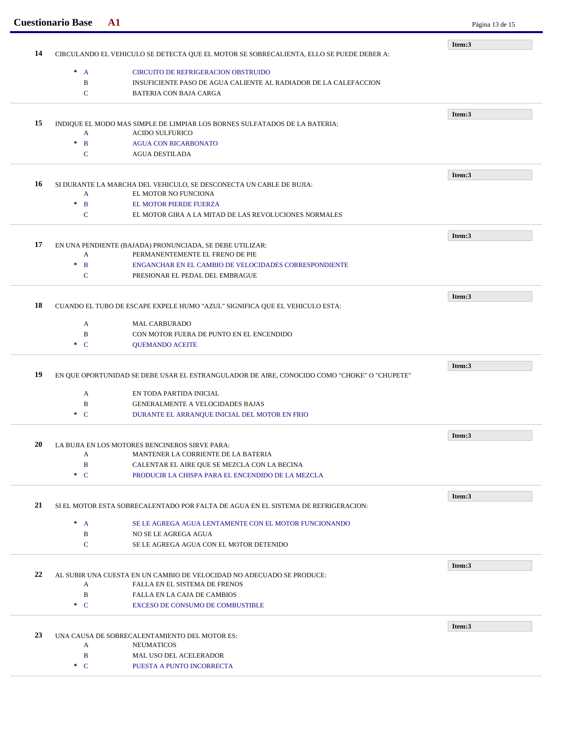|    | <b>Cuestionario Base</b><br>$\mathbf{A1}$                                                   | Página 13 de 15                                                                   |        |
|----|---------------------------------------------------------------------------------------------|-----------------------------------------------------------------------------------|--------|
|    |                                                                                             | Item:3                                                                            |        |
| 14 | CIRCULANDO EL VEHICULO SE DETECTA QUE EL MOTOR SE SOBRECALIENTA, ELLO SE PUEDE DEBER A:     |                                                                                   |        |
|    | $\ast$<br>$\overline{A}$                                                                    | CIRCUITO DE REFRIGERACION OBSTRUIDO                                               |        |
|    | $\, {\bf B}$                                                                                | INSUFICIENTE PASO DE AGUA CALIENTE AL RADIADOR DE LA CALEFACCION                  |        |
|    | $\mathbf C$                                                                                 | <b>BATERIA CON BAJA CARGA</b>                                                     |        |
|    |                                                                                             |                                                                                   |        |
| 15 |                                                                                             | INDIQUE EL MODO MAS SIMPLE DE LIMPIAR LOS BORNES SULFATADOS DE LA BATERIA:        | Item:3 |
|    | A                                                                                           | <b>ACIDO SULFURICO</b>                                                            |        |
|    | $\pm$<br>$\mathbf{B}$                                                                       | <b>AGUA CON BICARBONATO</b>                                                       |        |
|    | $\mathbf C$                                                                                 | <b>AGUA DESTILADA</b>                                                             |        |
|    |                                                                                             |                                                                                   |        |
|    |                                                                                             |                                                                                   | Item:3 |
| 16 |                                                                                             | SI DURANTE LA MARCHA DEL VEHICULO, SE DESCONECTA UN CABLE DE BUJIA:               |        |
|    | A                                                                                           | EL MOTOR NO FUNCIONA                                                              |        |
|    | $\ast$<br>$\mathbf{B}$                                                                      | EL MOTOR PIERDE FUERZA                                                            |        |
|    | $\mathbf C$                                                                                 | EL MOTOR GIRA A LA MITAD DE LAS REVOLUCIONES NORMALES                             |        |
|    |                                                                                             |                                                                                   | Item:3 |
| 17 |                                                                                             | EN UNA PENDIENTE (BAJADA) PRONUNCIADA, SE DEBE UTILIZAR:                          |        |
|    | A                                                                                           | PERMANENTEMENTE EL FRENO DE PIE                                                   |        |
|    | $\pm$<br>$\mathbf{B}$                                                                       | ENGANCHAR EN EL CAMBIO DE VELOCIDADES CORRESPONDIENTE                             |        |
|    | $\mathbf C$                                                                                 | PRESIONAR EL PEDAL DEL EMBRAGUE                                                   |        |
|    |                                                                                             |                                                                                   | Item:3 |
| 18 | CUANDO EL TUBO DE ESCAPE EXPELE HUMO "AZUL" SIGNIFICA QUE EL VEHICULO ESTA:                 |                                                                                   |        |
|    |                                                                                             |                                                                                   |        |
|    | A                                                                                           | <b>MAL CARBURADO</b>                                                              |        |
|    | B                                                                                           | CON MOTOR FUERA DE PUNTO EN EL ENCENDIDO                                          |        |
|    | $C^*$                                                                                       | <b>QUEMANDO ACEITE</b>                                                            |        |
|    |                                                                                             |                                                                                   | Item:3 |
| 19 | EN QUE OPORTUNIDAD SE DEBE USAR EL ESTRANGULADOR DE AIRE, CONOCIDO COMO "CHOKE" O "CHUPETE" |                                                                                   |        |
|    | A                                                                                           | EN TODA PARTIDA INICIAL                                                           |        |
|    | B                                                                                           | <b>GENERALMENTE A VELOCIDADES BAJAS</b>                                           |        |
|    | $\ast$ C                                                                                    | DURANTE EL ARRANQUE INICIAL DEL MOTOR EN FRIO                                     |        |
|    |                                                                                             |                                                                                   |        |
| 20 | LA BUJIA EN LOS MOTORES BENCINEROS SIRVE PARA:                                              |                                                                                   | Item:3 |
|    | A                                                                                           | MANTENER LA CORRIENTE DE LA BATERIA                                               |        |
|    | $\, {\bf B}$                                                                                | CALENTAR EL AIRE QUE SE MEZCLA CON LA BECINA                                      |        |
|    | $\ast$ C                                                                                    | PRODUCIR LA CHISPA PARA EL ENCENDIDO DE LA MEZCLA                                 |        |
|    |                                                                                             |                                                                                   |        |
| 21 |                                                                                             |                                                                                   | Item:3 |
|    |                                                                                             | SI EL MOTOR ESTA SOBRECALENTADO POR FALTA DE AGUA EN EL SISTEMA DE REFRIGERACION: |        |
|    | $^*$ A                                                                                      | SE LE AGREGA AGUA LENTAMENTE CON EL MOTOR FUNCIONANDO                             |        |
|    | B                                                                                           | NO SE LE AGREGA AGUA                                                              |        |
|    | $\mathbf{C}$                                                                                | SE LE AGREGA AGUA CON EL MOTOR DETENIDO                                           |        |
|    |                                                                                             |                                                                                   | Item:3 |
| 22 | AL SUBIR UNA CUESTA EN UN CAMBIO DE VELOCIDAD NO ADECUADO SE PRODUCE:                       |                                                                                   |        |
|    | FALLA EN EL SISTEMA DE FRENOS<br>A                                                          |                                                                                   |        |
|    | $\, {\bf B}$                                                                                | FALLA EN LA CAJA DE CAMBIOS                                                       |        |
|    | $\ast$ C                                                                                    | <b>EXCESO DE CONSUMO DE COMBUSTIBLE</b>                                           |        |
|    |                                                                                             |                                                                                   |        |
|    |                                                                                             | UNA CAUSA DE SOBRECALENTAMIENTO DEL MOTOR ES:                                     | Item:3 |
| 23 |                                                                                             | <b>NEUMATICOS</b>                                                                 |        |
|    | A                                                                                           |                                                                                   |        |
|    | $\, {\bf B}$                                                                                | MAL USO DEL ACELERADOR                                                            |        |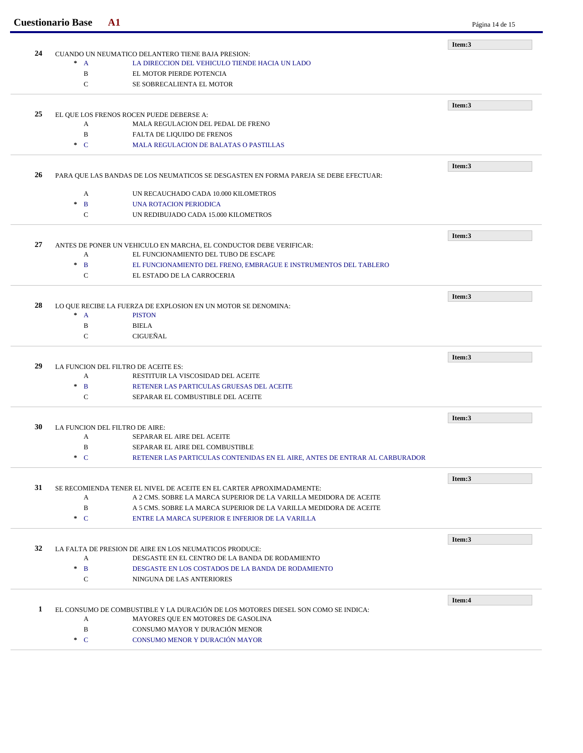|    | <b>Cuestionario Base</b>                                                             | ${\bf A1}$                                                                                                              | Página 14 de 15 |
|----|--------------------------------------------------------------------------------------|-------------------------------------------------------------------------------------------------------------------------|-----------------|
|    |                                                                                      |                                                                                                                         | Item:3          |
| 24 | CUANDO UN NEUMATICO DELANTERO TIENE BAJA PRESION:                                    |                                                                                                                         |                 |
|    | $* A$                                                                                | LA DIRECCION DEL VEHICULO TIENDE HACIA UN LADO                                                                          |                 |
|    | B                                                                                    | EL MOTOR PIERDE POTENCIA                                                                                                |                 |
|    | $\mathbf C$                                                                          | SE SOBRECALIENTA EL MOTOR                                                                                               |                 |
|    |                                                                                      |                                                                                                                         | Item:3          |
| 25 |                                                                                      | EL QUE LOS FRENOS ROCEN PUEDE DEBERSE A:                                                                                |                 |
|    | A                                                                                    | MALA REGULACION DEL PEDAL DE FRENO                                                                                      |                 |
|    | $\, {\bf B}$                                                                         | FALTA DE LIQUIDO DE FRENOS                                                                                              |                 |
|    | $\cdot$ C                                                                            | <b>MALA REGULACION DE BALATAS O PASTILLAS</b>                                                                           |                 |
|    |                                                                                      |                                                                                                                         |                 |
| 26 | PARA QUE LAS BANDAS DE LOS NEUMATICOS SE DESGASTEN EN FORMA PAREJA SE DEBE EFECTUAR: |                                                                                                                         | Item:3          |
|    |                                                                                      |                                                                                                                         |                 |
|    | A                                                                                    | UN RECAUCHADO CADA 10.000 KILOMETROS                                                                                    |                 |
|    | $\mathbf{B}$<br>$\ast$                                                               | UNA ROTACION PERIODICA                                                                                                  |                 |
|    | $\mathsf{C}$                                                                         | UN REDIBUJADO CADA 15.000 KILOMETROS                                                                                    |                 |
|    |                                                                                      |                                                                                                                         | Item:3          |
| 27 |                                                                                      | ANTES DE PONER UN VEHICULO EN MARCHA, EL CONDUCTOR DEBE VERIFICAR:                                                      |                 |
|    | A                                                                                    | EL FUNCIONAMIENTO DEL TUBO DE ESCAPE                                                                                    |                 |
|    | $\ast$<br>$\mathbf{B}$                                                               | EL FUNCIONAMIENTO DEL FRENO, EMBRAGUE E INSTRUMENTOS DEL TABLERO                                                        |                 |
|    | C                                                                                    | EL ESTADO DE LA CARROCERIA                                                                                              |                 |
|    |                                                                                      |                                                                                                                         |                 |
| 28 |                                                                                      | LO QUE RECIBE LA FUERZA DE EXPLOSION EN UN MOTOR SE DENOMINA:                                                           | Item:3          |
|    | $* A$                                                                                | <b>PISTON</b>                                                                                                           |                 |
|    | B                                                                                    | <b>BIELA</b>                                                                                                            |                 |
|    | $\mathcal{C}$                                                                        | CIGUEÑAL                                                                                                                |                 |
|    |                                                                                      |                                                                                                                         |                 |
|    |                                                                                      |                                                                                                                         | Item:3          |
| 29 |                                                                                      | LA FUNCION DEL FILTRO DE ACEITE ES:                                                                                     |                 |
|    | A                                                                                    | RESTITUIR LA VISCOSIDAD DEL ACEITE                                                                                      |                 |
|    | $\ast$<br>$\mathbf{B}$                                                               | RETENER LAS PARTICULAS GRUESAS DEL ACEITE                                                                               |                 |
|    | $\mathsf{C}$                                                                         | SEPARAR EL COMBUSTIBLE DEL ACEITE                                                                                       |                 |
|    |                                                                                      |                                                                                                                         | Item:3          |
| 30 |                                                                                      | LA FUNCION DEL FILTRO DE AIRE:                                                                                          |                 |
|    | A                                                                                    | SEPARAR EL AIRE DEL ACEITE                                                                                              |                 |
|    | B                                                                                    | SEPARAR EL AIRE DEL COMBUSTIBLE                                                                                         |                 |
|    | $C^*$                                                                                | RETENER LAS PARTICULAS CONTENIDAS EN EL AIRE. ANTES DE ENTRAR AL CARBURADOR                                             |                 |
|    |                                                                                      |                                                                                                                         | Item:3          |
| 31 |                                                                                      | SE RECOMIENDA TENER EL NIVEL DE ACEITE EN EL CARTER APROXIMADAMENTE:                                                    |                 |
|    | A                                                                                    | A 2 CMS. SOBRE LA MARCA SUPERIOR DE LA VARILLA MEDIDORA DE ACEITE                                                       |                 |
|    | $\, {\bf B}$                                                                         | A 5 CMS. SOBRE LA MARCA SUPERIOR DE LA VARILLA MEDIDORA DE ACEITE                                                       |                 |
|    | $C^*$                                                                                | ENTRE LA MARCA SUPERIOR E INFERIOR DE LA VARILLA                                                                        |                 |
|    |                                                                                      |                                                                                                                         |                 |
|    |                                                                                      |                                                                                                                         | Item:3          |
| 32 |                                                                                      | LA FALTA DE PRESION DE AIRE EN LOS NEUMATICOS PRODUCE:                                                                  |                 |
|    | A                                                                                    | DESGASTE EN EL CENTRO DE LA BANDA DE RODAMIENTO                                                                         |                 |
|    | $\mathbf{B}$<br>$\star$                                                              | DESGASTE EN LOS COSTADOS DE LA BANDA DE RODAMIENTO                                                                      |                 |
|    | $\mathbf C$                                                                          | NINGUNA DE LAS ANTERIORES                                                                                               |                 |
|    |                                                                                      |                                                                                                                         | Item:4          |
| 1  |                                                                                      |                                                                                                                         |                 |
|    | A                                                                                    | EL CONSUMO DE COMBUSTIBLE Y LA DURACIÓN DE LOS MOTORES DIESEL SON COMO SE INDICA:<br>MAYORES QUE EN MOTORES DE GASOLINA |                 |
|    | $\, {\bf B}$                                                                         | CONSUMO MAYOR Y DURACIÓN MENOR                                                                                          |                 |
|    | $C^*$                                                                                | CONSUMO MENOR Y DURACIÓN MAYOR                                                                                          |                 |
|    |                                                                                      |                                                                                                                         |                 |